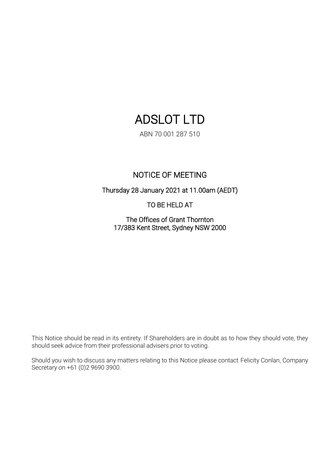# ADSLOT LTD

ABN 70 001 287 510

# NOTICE OF MEETING

Thursday 28 January 2021 at 11.00am (AEDT)

TO BE HELD AT

The Offices of Grant Thornton 17/383 Kent Street, Sydney NSW 2000

This Notice should be read in its entirety. If Shareholders are in doubt as to how they should vote, they should seek advice from their professional advisers prior to voting.

Should you wish to discuss any matters relating to this Notice please contact Felicity Conlan, Company Secretary on +61 (0)2 9690 3900.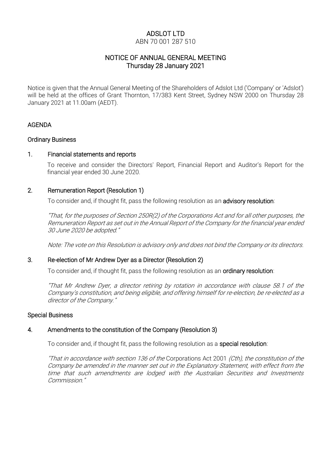# ADSLOT LTD

#### ABN 70 001 287 510

# NOTICE OF ANNUAL GENERAL MEETING Thursday 28 January 2021

Notice is given that the Annual General Meeting of the Shareholders of Adslot Ltd ('Company' or 'Adslot') will be held at the offices of Grant Thornton, 17/383 Kent Street, Sydney NSW 2000 on Thursday 28 January 2021 at 11.00am (AEDT).

#### AGENDA

#### Ordinary Business

#### 1. Financial statements and reports

To receive and consider the Directors' Report, Financial Report and Auditor's Report for the financial year ended 30 June 2020.

#### 2. Remuneration Report (Resolution 1)

To consider and, if thought fit, pass the following resolution as an **advisory resolution**:

"That, for the purposes of Section 250R(2) of the Corporations Act and for all other purposes, the Remuneration Report as set out in the Annual Report of the Company for the financial year ended 30 June 2020 be adopted."

Note: The vote on this Resolution is advisory only and does not bind the Company or its directors.

#### 3. Re-election of Mr Andrew Dyer as a Director (Resolution 2)

To consider and, if thought fit, pass the following resolution as an ordinary resolution:

"That Mr Andrew Dyer, a director retiring by rotation in accordance with clause 58.1 of the Company's constitution, and being eligible, and offering himself for re-election, be re-elected as a director of the Company."

#### Special Business

#### 4. Amendments to the constitution of the Company (Resolution 3)

To consider and, if thought fit, pass the following resolution as a special resolution:

"That in accordance with section 136 of the Corporations Act 2001 (Cth), the constitution of the Company be amended in the manner set out in the Explanatory Statement, with effect from the time that such amendments are lodged with the Australian Securities and Investments Commission."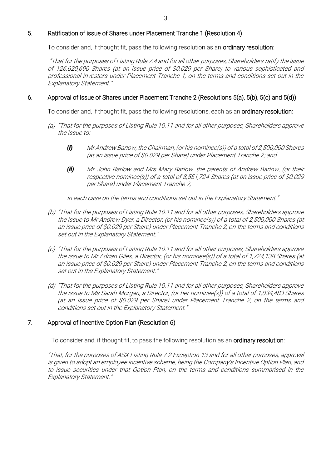### 5. Ratification of issue of Shares under Placement Tranche 1 (Resolution 4)

To consider and, if thought fit, pass the following resolution as an **ordinary resolution**:

 "That for the purposes of Listing Rule 7.4 and for all other purposes, Shareholders ratify the issue of 126,620,690 Shares (at an issue price of \$0.029 per Share) to various sophisticated and professional investors under Placement Tranche 1, on the terms and conditions set out in the Explanatory Statement."

#### 6. Approval of issue of Shares under Placement Tranche 2 (Resolutions 5(a), 5(b), 5(c) and 5(d))

To consider and, if thought fit, pass the following resolutions, each as an ordinary resolution:

- (a) "That for the purposes of Listing Rule 10.11 and for all other purposes, Shareholders approve the issue to:
	- *(i)* Mr Andrew Barlow, the Chairman, (or his nominee(s)) of a total of 2,500,000 Shares (at an issue price of \$0.029 per Share) under Placement Tranche 2; and
	- *(ii)* Mr John Barlow and Mrs Mary Barlow, the parents of Andrew Barlow, (or their respective nominee(s)) of <sup>a</sup> total of 3,551,724 Shares (at an issue price of \$0.029 per Share) under Placement Tranche 2,

in each case on the terms and conditions set out in the Explanatory Statement."

- (b) "That for the purposes of Listing Rule 10.11 and for all other purposes, Shareholders approve the issue to Mr Andrew Dyer, a Director, (or his nominee(s)) of a total of 2,500,000 Shares (at an issue price of \$0.029 per Share) under Placement Tranche 2, on the terms and conditions set out in the Explanatory Statement."
- (c) "That for the purposes of Listing Rule 10.11 and for all other purposes, Shareholders approve the issue to Mr Adrian Giles, a Director, (or his nominee(s)) of a total of 1,724,138 Shares (at an issue price of \$0.029 per Share) under Placement Tranche 2, on the terms and conditions set out in the Explanatory Statement."
- (d) "That for the purposes of Listing Rule 10.11 and for all other purposes, Shareholders approve the issue to Ms Sarah Morgan, a Director, (or her nominee(s)) of a total of 1,034,483 Shares (at an issue price of \$0.029 per Share) under Placement Tranche 2, on the terms and conditions set out in the Explanatory Statement."

#### 7. Approval of Incentive Option Plan (Resolution 6)

To consider and, if thought fit, to pass the following resolution as an ordinary resolution:

"That, for the purpose<sup>s</sup> of ASX Listing Rule 7.2 Exception 13 and for all other purposes, approval is given to adopt an employee incentive scheme, being the Company's Incentive Option Plan, and to issue securities under that Option Plan, on the terms and conditions summarised in the Explanatory Statement."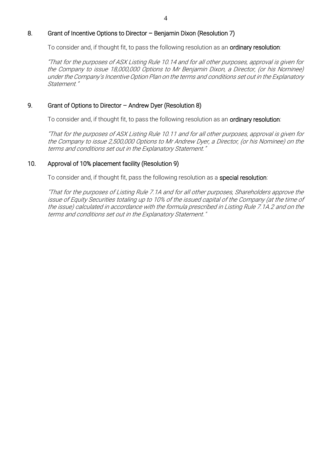#### 8. Grant of Incentive Options to Director – Benjamin Dixon (Resolution 7)

To consider and, if thought fit, to pass the following resolution as an ordinary resolution:

"That for the purposes of ASX Listing Rule 10.14 and for all other purposes, approval is given for the Company to issue 18,000,000 Options to Mr Benjamin Dixon, a Director, (or his Nominee) under the Company's Incentive Option Plan on the terms and conditions set out in the Explanatory Statement."

#### 9. Grant of Options to Director – Andrew Dyer (Resolution 8)

To consider and, if thought fit, to pass the following resolution as an ordinary resolution:

"That for the purposes of ASX Listing Rule 10.11 and for all other purposes, approval is given for the Company to issue 2,500,000 Options to Mr Andrew Dyer, a Director, (or his Nominee) on the terms and conditions set out in the Explanatory Statement."

#### 10. Approval of 10% placement facility (Resolution 9)

To consider and, if thought fit, pass the following resolution as a special resolution:

"That for the purposes of Listing Rule 7.1A and for all other purposes, Shareholders approve the issue of Equity Securities totaling up to 10% of the issued capital of the Company (at the time of the issue) calculated in accordance with the formula prescribed in Listing Rule 7.1A.2 and on the terms and conditions set out in the Explanatory Statement."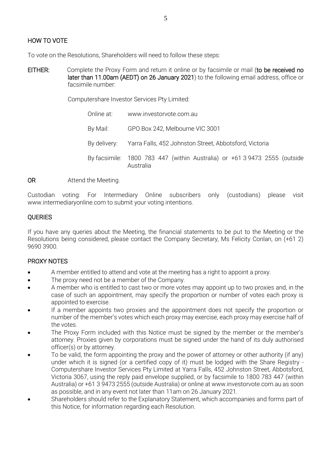# HOW TO VOTE

To vote on the Resolutions, Shareholders will need to follow these steps:

EITHER: Complete the Proxy Form and return it online or by facsimile or mail (to be received no later than 11.00am (AEDT) on 26 January 2021) to the following email address, office or facsimile number:

Computershare Investor Services Pty Limited:

Online at: www.investoryote.com.au. By Mail: GPO Box 242, Melbourne VIC 3001 By delivery: Yarra Falls, 452 Johnston Street, Abbotsford, Victoria By facsimile: 1800 783 447 (within Australia) or +61 3 9473 2555 (outside Australia

OR Attend the Meeting.

Custodian voting: For Intermediary Online subscribers only (custodians) please visit www.intermediaryonline.com to submit your voting intentions.

### **OUERIES**

If you have any queries about the Meeting, the financial statements to be put to the Meeting or the Resolutions being considered, please contact the Company Secretary, Ms Felicity Conlan, on (+61 2) 9690 3900.

#### PROXY NOTES

- A member entitled to attend and vote at the meeting has a right to appoint a proxy.
- The proxy need not be a member of the Company.
- A member who is entitled to cast two or more votes may appoint up to two proxies and, in the case of such an appointment, may specify the proportion or number of votes each proxy is appointed to exercise.
- If a member appoints two proxies and the appointment does not specify the proportion or number of the member's votes which each proxy may exercise, each proxy may exercise half of the votes.
- The Proxy Form included with this Notice must be signed by the member or the member's attorney. Proxies given by corporations must be signed under the hand of its duly authorised officer(s) or by attorney.
- To be valid, the form appointing the proxy and the power of attorney or other authority (if any) under which it is signed (or a certified copy of it) must be lodged with the Share Registry - Computershare Investor Services Pty Limited at Yarra Falls, 452 Johnston Street, Abbotsford, Victoria 3067, using the reply paid envelope supplied, or by facsimile to 1800 783 447 (within Australia) or +61 3 9473 2555 (outside Australia) or online at www.investorvote.com.au as soon as possible, and in any event not later than 11am on 26 January 2021.
- Shareholders should refer to the Explanatory Statement, which accompanies and forms part of this Notice, for information regarding each Resolution.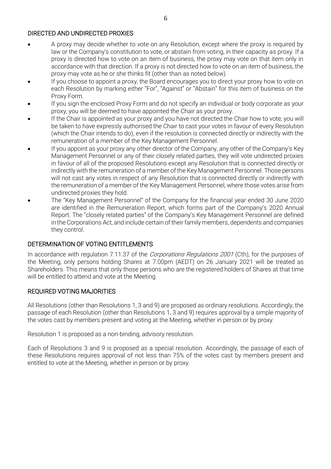#### DIRECTED AND UNDIRECTED PROXIES

- A proxy may decide whether to vote on any Resolution, except where the proxy is required by law or the Company's constitution to vote, or abstain from voting, in their capacity as proxy. If a proxy is directed how to vote on an item of business, the proxy may vote on that item only in accordance with that direction. If a proxy is not directed how to vote on an item of business, the proxy may vote as he or she thinks fit (other than as noted below).
- If you choose to appoint a proxy, the Board encourages you to direct your proxy how to vote on each Resolution by marking either "For", "Against" or "Abstain" for this item of business on the Proxy Form.
- If you sign the enclosed Proxy Form and do not specify an individual or body corporate as your proxy, you will be deemed to have appointed the Chair as your proxy.
- If the Chair is appointed as your proxy and you have not directed the Chair how to vote, you will be taken to have expressly authorised the Chair to cast your votes in favour of every Resolution (which the Chair intends to do), even if the resolution is connected directly or indirectly with the remuneration of a member of the Key Management Personnel.
- If you appoint as your proxy any other director of the Company, any other of the Company's Key Management Personnel or any of their closely related parties, they will vote undirected proxies in favour of all of the proposed Resolutions except any Resolution that is connected directly or indirectly with the remuneration of a member of the Key Management Personnel. Those persons will not cast any votes in respect of any Resolution that is connected directly or indirectly with the remuneration of a member of the Key Management Personnel, where those votes arise from undirected proxies they hold.
- The "Key Management Personnel" of the Company for the financial year ended 30 June 2020 are identified in the Remuneration Report, which forms part of the Company's 2020 Annual Report. The "closely related parties" of the Company's Key Management Personnel are defined in the Corporations Act, and include certain of their family members, dependents and companies they control.

#### DETERMINATION OF VOTING ENTITLEMENTS

In accordance with regulation 7.11.37 of the *Corporations Regulations 2001* (Cth), for the purposes of the Meeting, only persons holding Shares at 7.00pm (AEDT) on 26 January 2021 will be treated as Shareholders. This means that only those persons who are the registered holders of Shares at that time will be entitled to attend and vote at the Meeting.

#### REQUIRED VOTING MAJORITIES

All Resolutions (other than Resolutions 1, 3 and 9) are proposed as ordinary resolutions. Accordingly, the passage of each Resolution (other than Resolutions 1, 3 and 9) requires approval by a simple majority of the votes cast by members present and voting at the Meeting, whether in person or by proxy.

Resolution 1 is proposed as a non-binding, advisory resolution.

Each of Resolutions 3 and 9 is proposed as a special resolution. Accordingly, the passage of each of these Resolutions requires approval of not less than 75% of the votes cast by members present and entitled to vote at the Meeting, whether in person or by proxy.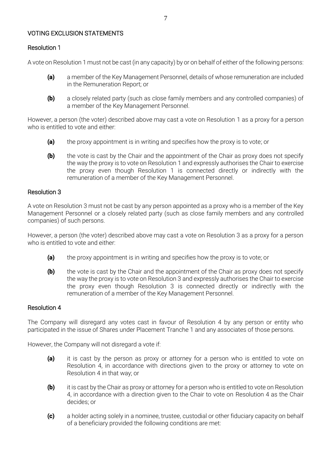#### VOTING EXCLUSION STATEMENTS

#### Resolution 1

A vote on Resolution 1 must not be cast (in any capacity) by or on behalf of either of the following persons:

- (a) a member of the Key Management Personnel, details of whose remuneration are included in the Remuneration Report; or
- (b) a closely related party (such as close family members and any controlled companies) of a member of the Key Management Personnel.

However, a person (the voter) described above may cast a vote on Resolution 1 as a proxy for a person who is entitled to vote and either:

- (a) the proxy appointment is in writing and specifies how the proxy is to vote; or
- $(b)$  the vote is cast by the Chair and the appointment of the Chair as proxy does not specify the way the proxy is to vote on Resolution 1 and expressly authorises the Chair to exercise the proxy even though Resolution 1 is connected directly or indirectly with the remuneration of a member of the Key Management Personnel.

#### Resolution 3

A vote on Resolution 3 must not be cast by any person appointed as a proxy who is a member of the Key Management Personnel or a closely related party (such as close family members and any controlled companies) of such persons.

However, a person (the voter) described above may cast a vote on Resolution 3 as a proxy for a person who is entitled to vote and either:

- (a) the proxy appointment is in writing and specifies how the proxy is to vote; or
- $(b)$  the vote is cast by the Chair and the appointment of the Chair as proxy does not specify the way the proxy is to vote on Resolution 3 and expressly authorises the Chair to exercise the proxy even though Resolution 3 is connected directly or indirectly with the remuneration of a member of the Key Management Personnel.

#### Resolution 4

The Company will disregard any votes cast in favour of Resolution 4 by any person or entity who participated in the issue of Shares under Placement Tranche 1 and any associates of those persons.

However, the Company will not disregard a vote if:

- (a) it is cast by the person as proxy or attorney for a person who is entitled to vote on Resolution 4, in accordance with directions given to the proxy or attorney to vote on Resolution 4 in that way; or
- (b) it is cast by the Chair as proxy or attorney for a person who is entitled to vote on Resolution 4, in accordance with a direction given to the Chair to vote on Resolution 4 as the Chair decides; or
- (c) a holder acting solely in a nominee, trustee, custodial or other fiduciary capacity on behalf of a beneficiary provided the following conditions are met: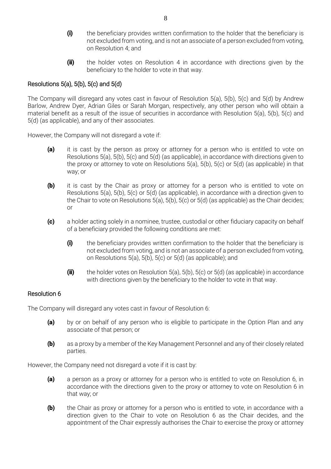- (i) the beneficiary provides written confirmation to the holder that the beneficiary is not excluded from voting, and is not an associate of a person excluded from voting, on Resolution 4; and
- (ii) the holder votes on Resolution 4 in accordance with directions given by the beneficiary to the holder to vote in that way.

### Resolutions  $5(a)$ ,  $5(b)$ ,  $5(c)$  and  $5(d)$

The Company will disregard any votes cast in favour of Resolution 5(a), 5(b), 5(c) and 5(d) by Andrew Barlow, Andrew Dyer, Adrian Giles or Sarah Morgan, respectively, any other person who will obtain a material benefit as a result of the issue of securities in accordance with Resolution 5(a), 5(b), 5(c) and 5(d) (as applicable), and any of their associates.

However, the Company will not disregard a vote if:

- (a) it is cast by the person as proxy or attorney for a person who is entitled to vote on Resolutions 5(a), 5(b), 5(c) and 5(d) (as applicable), in accordance with directions given to the proxy or attorney to vote on Resolutions  $5(a)$ ,  $5(b)$ ,  $5(c)$  or  $5(d)$  (as applicable) in that way; or
- (b) it is cast by the Chair as proxy or attorney for a person who is entitled to vote on Resolutions 5(a), 5(b), 5(c) or 5(d) (as applicable), in accordance with a direction given to the Chair to vote on Resolutions  $5(a)$ ,  $5(b)$ ,  $5(c)$  or  $5(d)$  (as applicable) as the Chair decides; or
- (c) a holder acting solely in a nominee, trustee, custodial or other fiduciary capacity on behalf of a beneficiary provided the following conditions are met:
	- (i) the beneficiary provides written confirmation to the holder that the beneficiary is not excluded from voting, and is not an associate of a person excluded from voting, on Resolutions 5(a), 5(b), 5(c) or 5(d) (as applicable); and
	- (ii) the holder votes on Resolution 5(a), 5(b), 5(c) or 5(d) (as applicable) in accordance with directions given by the beneficiary to the holder to vote in that way.

#### Resolution 6

The Company will disregard any votes cast in favour of Resolution 6:

- (a) by or on behalf of any person who is eligible to participate in the Option Plan and any associate of that person; or
- (b) as a proxy by a member of the Key Management Personnel and any of their closely related parties.

However, the Company need not disregard a vote if it is cast by:

- (a) a person as a proxy or attorney for a person who is entitled to vote on Resolution 6, in accordance with the directions given to the proxy or attorney to vote on Resolution 6 in that way; or
- **(b)** the Chair as proxy or attorney for a person who is entitled to vote, in accordance with a direction given to the Chair to vote on Resolution 6 as the Chair decides, and the appointment of the Chair expressly authorises the Chair to exercise the proxy or attorney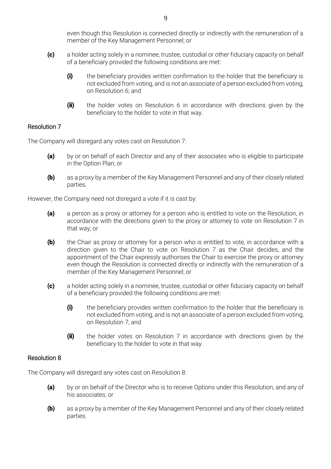even though this Resolution is connected directly or indirectly with the remuneration of a member of the Key Management Personnel; or

- (c) a holder acting solely in a nominee, trustee, custodial or other fiduciary capacity on behalf of a beneficiary provided the following conditions are met:
	- (i) the beneficiary provides written confirmation to the holder that the beneficiary is not excluded from voting, and is not an associate of a person excluded from voting, on Resolution 6; and
	- (ii) the holder votes on Resolution 6 in accordance with directions given by the beneficiary to the holder to vote in that way.

#### Resolution 7

The Company will disregard any votes cast on Resolution 7:

- (a) by or on behalf of each Director and any of their associates who is eligible to participate in the Option Plan; or
- (b) as a proxy by a member of the Key Management Personnel and any of their closely related parties.

However, the Company need not disregard a vote if it is cast by:

- (a) a person as a proxy or attorney for a person who is entitled to vote on the Resolution, in accordance with the directions given to the proxy or attorney to vote on Resolution 7 in that way; or
- **(b)** the Chair as proxy or attorney for a person who is entitled to vote, in accordance with a direction given to the Chair to vote on Resolution 7 as the Chair decides, and the appointment of the Chair expressly authorises the Chair to exercise the proxy or attorney even though the Resolution is connected directly or indirectly with the remuneration of a member of the Key Management Personnel; or
- (c) a holder acting solely in a nominee, trustee, custodial or other fiduciary capacity on behalf of a beneficiary provided the following conditions are met:
	- (i) the beneficiary provides written confirmation to the holder that the beneficiary is not excluded from voting, and is not an associate of a person excluded from voting, on Resolution 7; and
	- (ii) the holder votes on Resolution 7 in accordance with directions given by the beneficiary to the holder to vote in that way.

#### Resolution 8

The Company will disregard any votes cast on Resolution 8:

- (a) by or on behalf of the Director who is to receive Options under this Resolution, and any of his associates; or
- **(b)** as a proxy by a member of the Key Management Personnel and any of their closely related parties.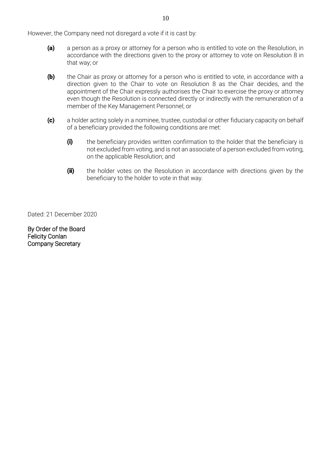However, the Company need not disregard a vote if it is cast by:

- (a) a person as a proxy or attorney for a person who is entitled to vote on the Resolution, in accordance with the directions given to the proxy or attorney to vote on Resolution 8 in that way; or
- (b) the Chair as proxy or attorney for a person who is entitled to vote, in accordance with a direction given to the Chair to vote on Resolution 8 as the Chair decides, and the appointment of the Chair expressly authorises the Chair to exercise the proxy or attorney even though the Resolution is connected directly or indirectly with the remuneration of a member of the Key Management Personnel; or
- (c) a holder acting solely in a nominee, trustee, custodial or other fiduciary capacity on behalf of a beneficiary provided the following conditions are met:
	- (i) the beneficiary provides written confirmation to the holder that the beneficiary is not excluded from voting, and is not an associate of a person excluded from voting, on the applicable Resolution; and
	- (ii) the holder votes on the Resolution in accordance with directions given by the beneficiary to the holder to vote in that way.

Dated: 21 December 2020

By Order of the Board Felicity Conlan Company Secretary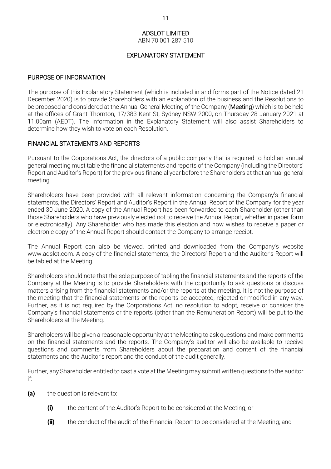#### ADSLOT LIMITED

ABN 70 001 287 510

#### EXPLANATORY STATEMENT

#### PURPOSE OF INFORMATION

The purpose of this Explanatory Statement (which is included in and forms part of the Notice dated 21 December 2020) is to provide Shareholders with an explanation of the business and the Resolutions to be proposed and considered at the Annual General Meeting of the Company (Meeting) which is to be held at the offices of Grant Thornton, 17/383 Kent St, Sydney NSW 2000, on Thursday 28 January 2021 at 11.00am (AEDT). The information in the Explanatory Statement will also assist Shareholders to determine how they wish to vote on each Resolution.

### FINANCIAL STATEMENTS AND REPORTS

Pursuant to the Corporations Act, the directors of a public company that is required to hold an annual general meeting must table the financial statements and reports of the Company (including the Directors' Report and Auditor's Report) for the previous financial year before the Shareholders at that annual general meeting.

Shareholders have been provided with all relevant information concerning the Company's financial statements, the Directors' Report and Auditor's Report in the Annual Report of the Company for the year ended 30 June 2020. A copy of the Annual Report has been forwarded to each Shareholder (other than those Shareholders who have previously elected not to receive the Annual Report, whether in paper form or electronically). Any Shareholder who has made this election and now wishes to receive a paper or electronic copy of the Annual Report should contact the Company to arrange receipt.

The Annual Report can also be viewed, printed and downloaded from the Company's website www.adslot.com. A copy of the financial statements, the Directors' Report and the Auditor's Report will be tabled at the Meeting.

Shareholders should note that the sole purpose of tabling the financial statements and the reports of the Company at the Meeting is to provide Shareholders with the opportunity to ask questions or discuss matters arising from the financial statements and/or the reports at the meeting. It is not the purpose of the meeting that the financial statements or the reports be accepted, rejected or modified in any way. Further, as it is not required by the Corporations Act, no resolution to adopt, receive or consider the Company's financial statements or the reports (other than the Remuneration Report) will be put to the Shareholders at the Meeting.

Shareholders will be given a reasonable opportunity at the Meeting to ask questions and make comments on the financial statements and the reports. The Company's auditor will also be available to receive questions and comments from Shareholders about the preparation and content of the financial statements and the Auditor's report and the conduct of the audit generally.

Further, any Shareholder entitled to cast a vote at the Meeting may submit written questions to the auditor if:

- (a) the question is relevant to:
	- (i) the content of the Auditor's Report to be considered at the Meeting; or
	- **(ii)** the conduct of the audit of the Financial Report to be considered at the Meeting; and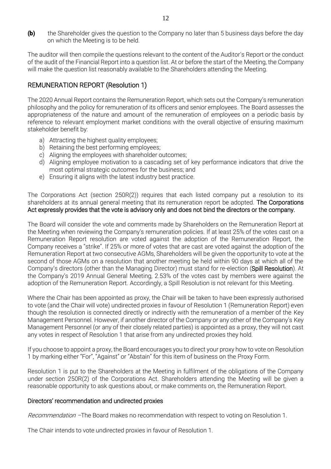(b) the Shareholder gives the question to the Company no later than 5 business days before the day on which the Meeting is to be held.

The auditor will then compile the questions relevant to the content of the Auditor's Report or the conduct of the audit of the Financial Report into a question list. At or before the start of the Meeting, the Company will make the question list reasonably available to the Shareholders attending the Meeting.

# REMUNERATION REPORT (Resolution 1)

The 2020 Annual Report contains the Remuneration Report, which sets out the Company's remuneration philosophy and the policy for remuneration of its officers and senior employees. The Board assesses the appropriateness of the nature and amount of the remuneration of employees on a periodic basis by reference to relevant employment market conditions with the overall objective of ensuring maximum stakeholder benefit by:

- a) Attracting the highest quality employees;
- b) Retaining the best performing employees;
- c) Aligning the employees with shareholder outcomes;
- d) Aligning employee motivation to a cascading set of key performance indicators that drive the most optimal strategic outcomes for the business; and
- e) Ensuring it aligns with the latest industry best practice.

The Corporations Act (section 250R(2)) requires that each listed company put a resolution to its shareholders at its annual general meeting that its remuneration report be adopted. The Corporations Act expressly provides that the vote is advisory only and does not bind the directors or the company.

The Board will consider the vote and comments made by Shareholders on the Remuneration Report at the Meeting when reviewing the Company's remuneration policies. If at least 25% of the votes cast on a Remuneration Report resolution are voted against the adoption of the Remuneration Report, the Company receives a "strike". If 25% or more of votes that are cast are voted against the adoption of the Remuneration Report at two consecutive AGMs, Shareholders will be given the opportunity to vote at the second of those AGMs on a resolution that another meeting be held within 90 days at which all of the Company's directors (other than the Managing Director) must stand for re-election (Spill Resolution). At the Company's 2019 Annual General Meeting, 2.53% of the votes cast by members were against the adoption of the Remuneration Report. Accordingly, a Spill Resolution is not relevant for this Meeting.

Where the Chair has been appointed as proxy, the Chair will be taken to have been expressly authorised to vote (and the Chair will vote) undirected proxies in favour of Resolution 1 (Remuneration Report) even though the resolution is connected directly or indirectly with the remuneration of a member of the Key Management Personnel. However, if another director of the Company or any other of the Company's Key Management Personnel (or any of their closely related parties) is appointed as a proxy, they will not cast any votes in respect of Resolution 1 that arise from any undirected proxies they hold.

If you choose to appoint a proxy, the Board encourages you to direct your proxy how to vote on Resolution 1 by marking either "For", "Against" or "Abstain" for this item of business on the Proxy Form.

Resolution 1 is put to the Shareholders at the Meeting in fulfilment of the obligations of the Company under section 250R(2) of the Corporations Act. Shareholders attending the Meeting will be given a reasonable opportunity to ask questions about, or make comments on, the Remuneration Report.

#### Directors' recommendation and undirected proxies

Recommendation –The Board makes no recommendation with respect to voting on Resolution 1.

The Chair intends to vote undirected proxies in favour of Resolution 1.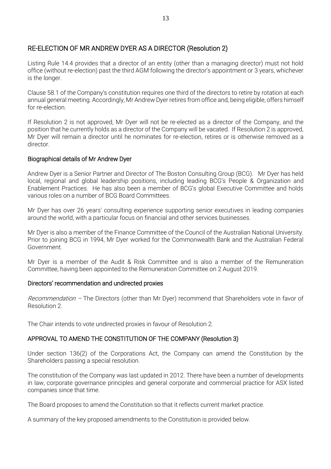# RE-ELECTION OF MR ANDREW DYER AS A DIRECTOR (Resolution 2)

Listing Rule 14.4 provides that a director of an entity (other than a managing director) must not hold office (without re-election) past the third AGM following the director's appointment or 3 years, whichever is the longer.

Clause 58.1 of the Company's constitution requires one third of the directors to retire by rotation at each annual general meeting. Accordingly, Mr Andrew Dyer retires from office and, being eligible, offers himself for re-election.

If Resolution 2 is not approved, Mr Dyer will not be re-elected as a director of the Company, and the position that he currently holds as a director of the Company will be vacated. If Resolution 2 is approved, Mr Dyer will remain a director until he nominates for re-election, retires or is otherwise removed as a director.

#### Biographical details of Mr Andrew Dyer

Andrew Dyer is a Senior Partner and Director of The Boston Consulting Group (BCG). Mr Dyer has held local, regional and global leadership positions, including leading BCG's People & Organization and Enablement Practices. He has also been a member of BCG's global Executive Committee and holds various roles on a number of BCG Board Committees.

Mr Dyer has over 26 years' consulting experience supporting senior executives in leading companies around the world, with a particular focus on financial and other services businesses.

Mr Dyer is also a member of the Finance Committee of the Council of the Australian National University. Prior to joining BCG in 1994, Mr Dyer worked for the Commonwealth Bank and the Australian Federal Government.

Mr Dyer is a member of the Audit & Risk Committee and is also a member of the Remuneration Committee, having been appointed to the Remuneration Committee on 2 August 2019.

#### Directors' recommendation and undirected proxies

Recommendation – The Directors (other than Mr Dyer) recommend that Shareholders vote in favor of Resolution 2.

The Chair intends to vote undirected proxies in favour of Resolution 2.

#### APPROVAL TO AMEND THE CONSTITUTION OF THE COMPANY (Resolution 3)

Under section 136(2) of the Corporations Act, the Company can amend the Constitution by the Shareholders passing a special resolution.

The constitution of the Company was last updated in 2012. There have been a number of developments in law, corporate governance principles and general corporate and commercial practice for ASX listed companies since that time.

The Board proposes to amend the Constitution so that it reflects current market practice.

A summary of the key proposed amendments to the Constitution is provided below.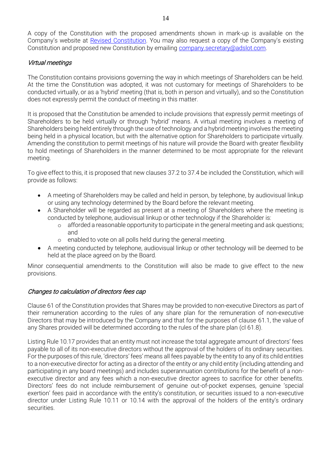A copy of the Constitution with the proposed amendments shown in mark-up is available on the Company's website at [Revised Constitution](https://www.adslot.com/wp-content/uploads/2020/12/Adslot-Limited-Constitution-changes-proposed-Dec-2020.pdf). You may also request a copy of the Company's existing Constitution and proposed new Constitution by emailing [company.secretary@adslot.com.](mailto:company.secretary@adslot.com)

### Virtual meetings

The Constitution contains provisions governing the way in which meetings of Shareholders can be held. At the time the Constitution was adopted, it was not customary for meetings of Shareholders to be conducted virtually, or as a 'hybrid' meeting (that is, both in person and virtually), and so the Constitution does not expressly permit the conduct of meeting in this matter.

It is proposed that the Constitution be amended to include provisions that expressly permit meetings of Shareholders to be held virtually or through 'hybrid' means. A virtual meeting involves a meeting of Shareholders being held entirely through the use of technology and a hybrid meeting involves the meeting being held in a physical location, but with the alternative option for Shareholders to participate virtually. Amending the constitution to permit meetings of his nature will provide the Board with greater flexibility to hold meetings of Shareholders in the manner determined to be most appropriate for the relevant meeting.

To give effect to this, it is proposed that new clauses 37.2 to 37.4 be included the Constitution, which will provide as follows:

- A meeting of Shareholders may be called and held in person, by telephone, by audiovisual linkup or using any technology determined by the Board before the relevant meeting.
- A Shareholder will be regarded as present at a meeting of Shareholders where the meeting is conducted by telephone, audiovisual linkup or other technology if the Shareholder is:
	- o afforded a reasonable opportunity to participate in the general meeting and ask questions; and
	- o enabled to vote on all polls held during the general meeting.
- A meeting conducted by telephone, audiovisual linkup or other technology will be deemed to be held at the place agreed on by the Board.

Minor consequential amendments to the Constitution will also be made to give effect to the new provisions.

#### Changes to calculation of directors fees cap

Clause 61 of the Constitution provides that Shares may be provided to non-executive Directors as part of their remuneration according to the rules of any share plan for the remuneration of non-executive Directors that may be introduced by the Company and that for the purposes of clause 61.1, the value of any Shares provided will be determined according to the rules of the share plan (cl 61.8).

Listing Rule 10.17 provides that an entity must not increase the total aggregate amount of directors' fees payable to all of its non-executive directors without the approval of the holders of its ordinary securities. For the purposes of this rule, 'directors' fees' means all fees payable by the entity to any of its child entities to a non-executive director for acting as a director of the entity or any child entity (including attending and participating in any board meetings) and includes superannuation contributions for the benefit of a nonexecutive director and any fees which a non-executive director agrees to sacrifice for other benefits. Directors' fees do not include reimbursement of genuine out-of-pocket expenses, genuine 'special exertion' fees paid in accordance with the entity's constitution, or securities issued to a non-executive director under Listing Rule 10.11 or 10.14 with the approval of the holders of the entity's ordinary securities.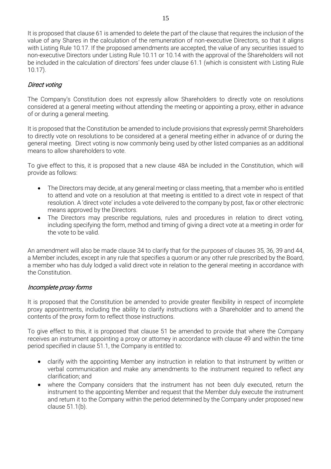It is proposed that clause 61 is amended to delete the part of the clause that requires the inclusion of the value of any Shares in the calculation of the remuneration of non-executive Directors, so that it aligns with Listing Rule 10.17. If the proposed amendments are accepted, the value of any securities issued to non-executive Directors under Listing Rule 10.11 or 10.14 with the approval of the Shareholders will not be included in the calculation of directors' fees under clause 61.1 (which is consistent with Listing Rule 10.17).

# Direct voting

The Company's Constitution does not expressly allow Shareholders to directly vote on resolutions considered at a general meeting without attending the meeting or appointing a proxy, either in advance of or during a general meeting.

It is proposed that the Constitution be amended to include provisions that expressly permit Shareholders to directly vote on resolutions to be considered at a general meeting either in advance of or during the general meeting. Direct voting is now commonly being used by other listed companies as an additional means to allow shareholders to vote.

To give effect to this, it is proposed that a new clause 48A be included in the Constitution, which will provide as follows:

- The Directors may decide, at any general meeting or class meeting, that a member who is entitled to attend and vote on a resolution at that meeting is entitled to a direct vote in respect of that resolution. A 'direct vote' includes a vote delivered to the company by post, fax or other electronic means approved by the Directors.
- The Directors may prescribe regulations, rules and procedures in relation to direct voting, including specifying the form, method and timing of giving a direct vote at a meeting in order for the vote to be valid.

An amendment will also be made clause 34 to clarify that for the purposes of clauses 35, 36, 39 and 44, a Member includes, except in any rule that specifies a quorum or any other rule prescribed by the Board, a member who has duly lodged a valid direct vote in relation to the general meeting in accordance with the Constitution.

#### Incomplete proxy forms

It is proposed that the Constitution be amended to provide greater flexibility in respect of incomplete proxy appointments, including the ability to clarify instructions with a Shareholder and to amend the contents of the proxy form to reflect those instructions.

To give effect to this, it is proposed that clause 51 be amended to provide that where the Company receives an instrument appointing a proxy or attorney in accordance with clause 49 and within the time period specified in clause 51.1, the Company is entitled to:

- clarify with the appointing Member any instruction in relation to that instrument by written or verbal communication and make any amendments to the instrument required to reflect any clarification; and
- where the Company considers that the instrument has not been duly executed, return the instrument to the appointing Member and request that the Member duly execute the instrument and return it to the Company within the period determined by the Company under proposed new clause 51.1(b).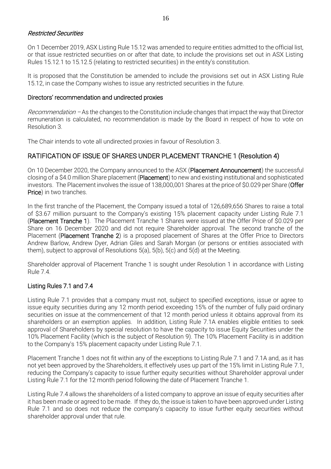#### Restricted Securities

On 1 December 2019, ASX Listing Rule 15.12 was amended to require entities admitted to the official list, or that issue restricted securities on or after that date, to include the provisions set out in ASX Listing Rules 15.12.1 to 15.12.5 (relating to restricted securities) in the entity's constitution.

It is proposed that the Constitution be amended to include the provisions set out in ASX Listing Rule 15.12, in case the Company wishes to issue any restricted securities in the future.

#### Directors' recommendation and undirected proxies

Recommendation – As the changes to the Constitution include changes that impact the way that Director remuneration is calculated, no recommendation is made by the Board in respect of how to vote on Resolution 3.

The Chair intends to vote all undirected proxies in favour of Resolution 3.

### RATIFICATION OF ISSUE OF SHARES UNDER PLACEMENT TRANCHE 1 (Resolution 4)

On 10 December 2020, the Company announced to the ASX (Placement Announcement) the successful closing of a \$4.0 million Share placement (Placement) to new and existing institutional and sophisticated investors. The Placement involves the issue of 138,000,001 Shares at the price of \$0.029 per Share (Offer Price) in two tranches.

In the first tranche of the Placement, the Company issued a total of 126,689,656 Shares to raise a total of \$3.67 million pursuant to the Company's existing 15% placement capacity under Listing Rule 7.1 (Placement Tranche 1). The Placement Tranche 1 Shares were issued at the Offer Price of \$0.029 per Share on 16 December 2020 and did not require Shareholder approval. The second tranche of the Placement (Placement Tranche 2) is a proposed placement of Shares at the Offer Price to Directors Andrew Barlow, Andrew Dyer, Adrian Giles and Sarah Morgan (or persons or entities associated with them), subject to approval of Resolutions 5(a), 5(b), 5(c) and 5(d) at the Meeting.

Shareholder approval of Placement Tranche 1 is sought under Resolution 1 in accordance with Listing Rule 7.4.

#### Listing Rules 7.1 and 7.4

Listing Rule 7.1 provides that a company must not, subject to specified exceptions, issue or agree to issue equity securities during any 12 month period exceeding 15% of the number of fully paid ordinary securities on issue at the commencement of that 12 month period unless it obtains approval from its shareholders or an exemption applies. In addition, Listing Rule 7.1A enables eligible entities to seek approval of Shareholders by special resolution to have the capacity to issue Equity Securities under the 10% Placement Facility (which is the subject of Resolution 9). The 10% Placement Facility is in addition to the Company's 15% placement capacity under Listing Rule 7.1.

Placement Tranche 1 does not fit within any of the exceptions to Listing Rule 7.1 and 7.1A and, as it has not yet been approved by the Shareholders, it effectively uses up part of the 15% limit in Listing Rule 7.1, reducing the Company's capacity to issue further equity securities without Shareholder approval under Listing Rule 7.1 for the 12 month period following the date of Placement Tranche 1.

Listing Rule 7.4 allows the shareholders of a listed company to approve an issue of equity securities after it has been made or agreed to be made. If they do, the issue is taken to have been approved under Listing Rule 7.1 and so does not reduce the company's capacity to issue further equity securities without shareholder approval under that rule.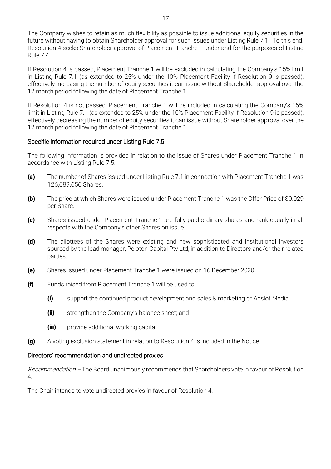The Company wishes to retain as much flexibility as possible to issue additional equity securities in the future without having to obtain Shareholder approval for such issues under Listing Rule 7.1. To this end, Resolution 4 seeks Shareholder approval of Placement Tranche 1 under and for the purposes of Listing Rule 7.4.

If Resolution 4 is passed, Placement Tranche 1 will be excluded in calculating the Company's 15% limit in Listing Rule 7.1 (as extended to 25% under the 10% Placement Facility if Resolution 9 is passed), effectively increasing the number of equity securities it can issue without Shareholder approval over the 12 month period following the date of Placement Tranche 1.

If Resolution 4 is not passed, Placement Tranche 1 will be included in calculating the Company's 15% limit in Listing Rule 7.1 (as extended to 25% under the 10% Placement Facility if Resolution 9 is passed), effectively decreasing the number of equity securities it can issue without Shareholder approval over the 12 month period following the date of Placement Tranche 1.

#### Specific information required under Listing Rule 7.5

The following information is provided in relation to the issue of Shares under Placement Tranche 1 in accordance with Listing Rule 7.5:

- (a) The number of Shares issued under Listing Rule 7.1 in connection with Placement Tranche 1 was 126,689,656 Shares.
- (b) The price at which Shares were issued under Placement Tranche 1 was the Offer Price of \$0.029 per Share.
- (c) Shares issued under Placement Tranche 1 are fully paid ordinary shares and rank equally in all respects with the Company's other Shares on issue.
- (d) The allottees of the Shares were existing and new sophisticated and institutional investors sourced by the lead manager, Peloton Capital Pty Ltd, in addition to Directors and/or their related parties.
- (e) Shares issued under Placement Tranche 1 were issued on 16 December 2020.
- (f) Funds raised from Placement Tranche 1 will be used to:
	- (i) support the continued product development and sales & marketing of Adslot Media;
	- **(ii)** strengthen the Company's balance sheet; and
	- (iii) provide additional working capital.
- (g) A voting exclusion statement in relation to Resolution 4 is included in the Notice.

#### Directors' recommendation and undirected proxies

Recommendation – The Board unanimously recommends that Shareholders vote in favour of Resolution 4.

The Chair intends to vote undirected proxies in favour of Resolution 4.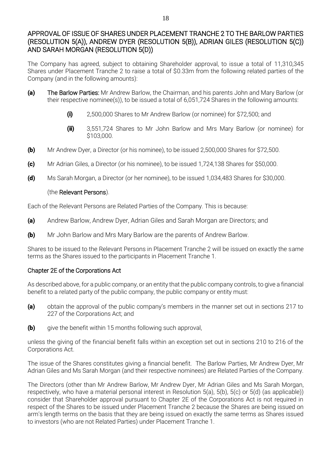# APPROVAL OF ISSUE OF SHARES UNDER PLACEMENT TRANCHE 2 TO THE BARLOW PARTIES (RESOLUTION 5(A)), ANDREW DYER (RESOLUTION 5(B)), ADRIAN GILES (RESOLUTION 5(C)) AND SARAH MORGAN (RESOLUTION 5(D))

The Company has agreed, subject to obtaining Shareholder approval, to issue a total of 11,310,345 Shares under Placement Tranche 2 to raise a total of \$0.33m from the following related parties of the Company (and in the following amounts):

- (a) The Barlow Parties: Mr Andrew Barlow, the Chairman, and his parents John and Mary Barlow (or their respective nominee(s)), to be issued a total of 6,051,724 Shares in the following amounts:
	- (i) 2,500,000 Shares to Mr Andrew Barlow (or nominee) for \$72,500; and
	- **(ii)** 3,551,724 Shares to Mr John Barlow and Mrs Mary Barlow (or nominee) for \$103,000.
- (b) Mr Andrew Dyer, a Director (or his nominee), to be issued 2,500,000 Shares for \$72,500.
- (c) Mr Adrian Giles, a Director (or his nominee), to be issued 1,724,138 Shares for \$50,000.
- (d) Ms Sarah Morgan, a Director (or her nominee), to be issued 1,034,483 Shares for \$30,000.

### (the Relevant Persons).

Each of the Relevant Persons are Related Parties of the Company. This is because:

- (a) Andrew Barlow, Andrew Dyer, Adrian Giles and Sarah Morgan are Directors; and
- **(b)** Mr John Barlow and Mrs Mary Barlow are the parents of Andrew Barlow.

Shares to be issued to the Relevant Persons in Placement Tranche 2 will be issued on exactly the same terms as the Shares issued to the participants in Placement Tranche 1.

# Chapter 2E of the Corporations Act

As described above, for a public company, or an entity that the public company controls, to give a financial benefit to a related party of the public company, the public company or entity must:

- (a) obtain the approval of the public company's members in the manner set out in sections 217 to 227 of the Corporations Act; and
- **(b)** give the benefit within 15 months following such approval,

unless the giving of the financial benefit falls within an exception set out in sections 210 to 216 of the Corporations Act.

The issue of the Shares constitutes giving a financial benefit. The Barlow Parties, Mr Andrew Dyer, Mr Adrian Giles and Ms Sarah Morgan (and their respective nominees) are Related Parties of the Company.

The Directors (other than Mr Andrew Barlow, Mr Andrew Dyer, Mr Adrian Giles and Ms Sarah Morgan, respectively, who have a material personal interest in Resolution 5(a), 5(b), 5(c) or 5(d) (as applicable)) consider that Shareholder approval pursuant to Chapter 2E of the Corporations Act is not required in respect of the Shares to be issued under Placement Tranche 2 because the Shares are being issued on arm's length terms on the basis that they are being issued on exactly the same terms as Shares issued to investors (who are not Related Parties) under Placement Tranche 1.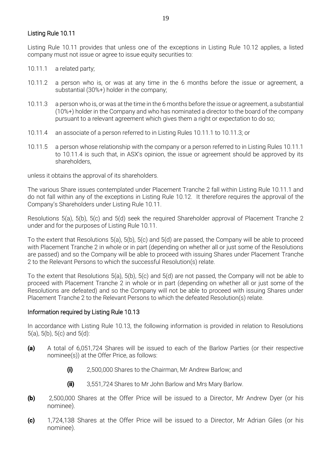#### Listing Rule 10.11

Listing Rule 10.11 provides that unless one of the exceptions in Listing Rule 10.12 applies, a listed company must not issue or agree to issue equity securities to:

- 10.11.1 a related party;
- 10.11.2 a person who is, or was at any time in the 6 months before the issue or agreement, a substantial (30%+) holder in the company;
- 10.11.3 a person who is, or was at the time in the 6 months before the issue or agreement, a substantial (10%+) holder in the Company and who has nominated a director to the board of the company pursuant to a relevant agreement which gives them a right or expectation to do so;
- 10.11.4 an associate of a person referred to in Listing Rules 10.11.1 to 10.11.3; or
- 10.11.5 a person whose relationship with the company or a person referred to in Listing Rules 10.11.1 to 10.11.4 is such that, in ASX's opinion, the issue or agreement should be approved by its shareholders,

unless it obtains the approval of its shareholders.

The various Share issues contemplated under Placement Tranche 2 fall within Listing Rule 10.11.1 and do not fall within any of the exceptions in Listing Rule 10.12. It therefore requires the approval of the Company's Shareholders under Listing Rule 10.11.

Resolutions 5(a), 5(b), 5(c) and 5(d) seek the required Shareholder approval of Placement Tranche 2 under and for the purposes of Listing Rule 10.11.

To the extent that Resolutions 5(a), 5(b), 5(c) and 5(d) are passed, the Company will be able to proceed with Placement Tranche 2 in whole or in part (depending on whether all or just some of the Resolutions are passed) and so the Company will be able to proceed with issuing Shares under Placement Tranche 2 to the Relevant Persons to which the successful Resolution(s) relate.

To the extent that Resolutions 5(a), 5(b), 5(c) and 5(d) are not passed, the Company will not be able to proceed with Placement Tranche 2 in whole or in part (depending on whether all or just some of the Resolutions are defeated) and so the Company will not be able to proceed with issuing Shares under Placement Tranche 2 to the Relevant Persons to which the defeated Resolution(s) relate.

#### Information required by Listing Rule 10.13

In accordance with Listing Rule 10.13, the following information is provided in relation to Resolutions 5(a), 5(b), 5(c) and 5(d):

- (a) A total of 6,051,724 Shares will be issued to each of the Barlow Parties (or their respective nominee(s)) at the Offer Price, as follows:
	- (i) 2,500,000 Shares to the Chairman, Mr Andrew Barlow; and
	- (ii) 3,551,724 Shares to Mr John Barlow and Mrs Mary Barlow.
- (b) 2,500,000 Shares at the Offer Price will be issued to a Director, Mr Andrew Dyer (or his nominee).
- (c) 1,724,138 Shares at the Offer Price will be issued to a Director, Mr Adrian Giles (or his nominee).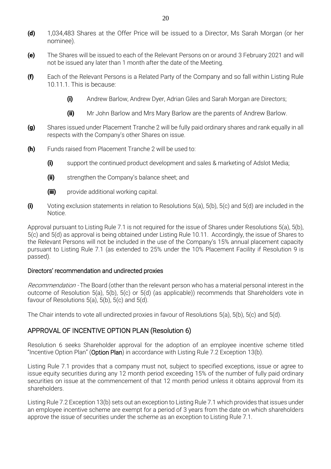- (d) 1,034,483 Shares at the Offer Price will be issued to a Director, Ms Sarah Morgan (or her nominee).
- (e) The Shares will be issued to each of the Relevant Persons on or around 3 February 2021 and will not be issued any later than 1 month after the date of the Meeting.
- (f) Each of the Relevant Persons is a Related Party of the Company and so fall within Listing Rule 10.11.1. This is because:
	- (i) Andrew Barlow, Andrew Dyer, Adrian Giles and Sarah Morgan are Directors;
	- (ii) Mr John Barlow and Mrs Mary Barlow are the parents of Andrew Barlow.
- (g) Shares issued under Placement Tranche 2 will be fully paid ordinary shares and rank equally in all respects with the Company's other Shares on issue.
- (h) Funds raised from Placement Tranche 2 will be used to:
	- (i) support the continued product development and sales & marketing of Adslot Media;
	- (ii) strengthen the Company's balance sheet; and
	- (iii) provide additional working capital.
- (i) Voting exclusion statements in relation to Resolutions  $5(a)$ ,  $5(b)$ ,  $5(c)$  and  $5(d)$  are included in the Notice.

Approval pursuant to Listing Rule 7.1 is not required for the issue of Shares under Resolutions 5(a), 5(b), 5(c) and 5(d) as approval is being obtained under Listing Rule 10.11. Accordingly, the issue of Shares to the Relevant Persons will not be included in the use of the Company's 15% annual placement capacity pursuant to Listing Rule 7.1 (as extended to 25% under the 10% Placement Facility if Resolution 9 is passed).

#### Directors' recommendation and undirected proxies

Recommendation - The Board (other than the relevant person who has a material personal interest in the outcome of Resolution 5(a), 5(b), 5(c) or 5(d) (as applicable)) recommends that Shareholders vote in favour of Resolutions  $5(a)$ ,  $5(b)$ ,  $5(c)$  and  $5(d)$ .

The Chair intends to vote all undirected proxies in favour of Resolutions 5(a), 5(b), 5(c) and 5(d).

# APPROVAL OF INCENTIVE OPTION PLAN (Resolution 6)

Resolution 6 seeks Shareholder approval for the adoption of an employee incentive scheme titled "Incentive Option Plan" (Option Plan) in accordance with Listing Rule 7.2 Exception 13(b).

Listing Rule 7.1 provides that a company must not, subject to specified exceptions, issue or agree to issue equity securities during any 12 month period exceeding 15% of the number of fully paid ordinary securities on issue at the commencement of that 12 month period unless it obtains approval from its shareholders.

Listing Rule 7.2 Exception 13(b) sets out an exception to Listing Rule 7.1 which provides that issues under an employee incentive scheme are exempt for a period of 3 years from the date on which shareholders approve the issue of securities under the scheme as an exception to Listing Rule 7.1.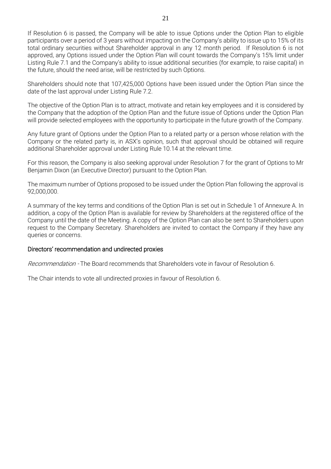If Resolution 6 is passed, the Company will be able to issue Options under the Option Plan to eligible participants over a period of 3 years without impacting on the Company's ability to issue up to 15% of its total ordinary securities without Shareholder approval in any 12 month period. If Resolution 6 is not approved, any Options issued under the Option Plan will count towards the Company's 15% limit under Listing Rule 7.1 and the Company's ability to issue additional securities (for example, to raise capital) in the future, should the need arise, will be restricted by such Options.

Shareholders should note that 107,425,000 Options have been issued under the Option Plan since the date of the last approval under Listing Rule 7.2.

The objective of the Option Plan is to attract, motivate and retain key employees and it is considered by the Company that the adoption of the Option Plan and the future issue of Options under the Option Plan will provide selected employees with the opportunity to participate in the future growth of the Company.

Any future grant of Options under the Option Plan to a related party or a person whose relation with the Company or the related party is, in ASX's opinion, such that approval should be obtained will require additional Shareholder approval under Listing Rule 10.14 at the relevant time.

For this reason, the Company is also seeking approval under Resolution 7 for the grant of Options to Mr Benjamin Dixon (an Executive Director) pursuant to the Option Plan.

The maximum number of Options proposed to be issued under the Option Plan following the approval is 92,000,000.

A summary of the key terms and conditions of the Option Plan is set out in Schedule 1 of Annexure A. In addition, a copy of the Option Plan is available for review by Shareholders at the registered office of the Company until the date of the Meeting. A copy of the Option Plan can also be sent to Shareholders upon request to the Company Secretary. Shareholders are invited to contact the Company if they have any queries or concerns.

#### Directors' recommendation and undirected proxies

Recommendation - The Board recommends that Shareholders vote in favour of Resolution 6.

The Chair intends to vote all undirected proxies in favour of Resolution 6.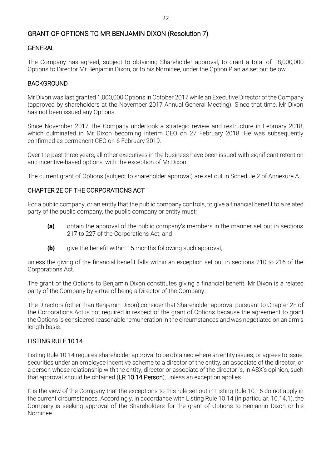# GRANT OF OPTIONS TO MR BENJAMIN DIXON (Resolution 7)

#### **GENERAL**

The Company has agreed, subject to obtaining Shareholder approval, to grant a total of 18,000,000 Options to Director Mr Benjamin Dixon, or to his Nominee, under the Option Plan as set out below.

#### BACKGROUND

Mr Dixon was last granted 1,000,000 Options in October 2017 while an Executive Director of the Company (approved by shareholders at the November 2017 Annual General Meeting). Since that time, Mr Dixon has not been issued any Options.

Since November 2017, the Company undertook a strategic review and restructure in February 2018, which culminated in Mr Dixon becoming interim CEO on 27 February 2018. He was subsequently confirmed as permanent CEO on 6 February 2019.

Over the past three years, all other executives in the business have been issued with significant retention and incentive-based options, with the exception of Mr Dixon.

The current grant of Options (subject to shareholder approval) are set out in Schedule 2 of Annexure A.

#### CHAPTER 2E OF THE CORPORATIONS ACT

For a public company, or an entity that the public company controls, to give a financial benefit to a related party of the public company, the public company or entity must:

- (a) obtain the approval of the public company's members in the manner set out in sections 217 to 227 of the Corporations Act; and
- **(b)** give the benefit within 15 months following such approval,

unless the giving of the financial benefit falls within an exception set out in sections 210 to 216 of the Corporations Act.

The grant of the Options to Benjamin Dixon constitutes giving a financial benefit. Mr Dixon is a related party of the Company by virtue of being a Director of the Company.

The Directors (other than Benjamin Dixon) consider that Shareholder approval pursuant to Chapter 2E of the Corporations Act is not required in respect of the grant of Options because the agreement to grant the Options is considered reasonable remuneration in the circumstances and was negotiated on an arm's length basis.

#### LISTING RULE 10.14

Listing Rule 10.14 requires shareholder approval to be obtained where an entity issues, or agrees to issue, securities under an employee incentive scheme to a director of the entity, an associate of the director, or a person whose relationship with the entity, director or associate of the director is, in ASX's opinion, such that approval should be obtained (LR 10.14 Person), unless an exception applies.

It is the view of the Company that the exceptions to this rule set out in Listing Rule 10.16 do not apply in the current circumstances. Accordingly, in accordance with Listing Rule 10.14 (in particular, 10.14.1), the Company is seeking approval of the Shareholders for the grant of Options to Benjamin Dixon or his Nominee.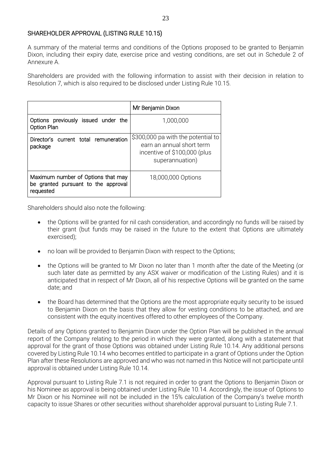#### SHAREHOLDER APPROVAL (LISTING RULE 10.15)

A summary of the material terms and conditions of the Options proposed to be granted to Benjamin Dixon, including their expiry date, exercise price and vesting conditions, are set out in Schedule 2 of Annexure A.

Shareholders are provided with the following information to assist with their decision in relation to Resolution 7, which is also required to be disclosed under Listing Rule 10.15.

|                                                                                        | Mr Benjamin Dixon                                                                                                  |
|----------------------------------------------------------------------------------------|--------------------------------------------------------------------------------------------------------------------|
| Options previously issued under the<br><b>Option Plan</b>                              | 1,000,000                                                                                                          |
| Director's current total remuneration<br>package                                       | \$300,000 pa with the potential to<br>earn an annual short term<br>incentive of \$100,000 (plus<br>superannuation) |
| Maximum number of Options that may<br>be granted pursuant to the approval<br>requested | 18,000,000 Options                                                                                                 |

Shareholders should also note the following:

- the Options will be granted for nil cash consideration, and accordingly no funds will be raised by their grant (but funds may be raised in the future to the extent that Options are ultimately exercised);
- no loan will be provided to Benjamin Dixon with respect to the Options;
- the Options will be granted to Mr Dixon no later than 1 month after the date of the Meeting (or such later date as permitted by any ASX waiver or modification of the Listing Rules) and it is anticipated that in respect of Mr Dixon, all of his respective Options will be granted on the same date; and
- the Board has determined that the Options are the most appropriate equity security to be issued to Benjamin Dixon on the basis that they allow for vesting conditions to be attached, and are consistent with the equity incentives offered to other employees of the Company.

Details of any Options granted to Benjamin Dixon under the Option Plan will be published in the annual report of the Company relating to the period in which they were granted, along with a statement that approval for the grant of those Options was obtained under Listing Rule 10.14. Any additional persons covered by Listing Rule 10.14 who becomes entitled to participate in a grant of Options under the Option Plan after these Resolutions are approved and who was not named in this Notice will not participate until approval is obtained under Listing Rule 10.14.

Approval pursuant to Listing Rule 7.1 is not required in order to grant the Options to Benjamin Dixon or his Nominee as approval is being obtained under Listing Rule 10.14. Accordingly, the issue of Options to Mr Dixon or his Nominee will not be included in the 15% calculation of the Company's twelve month capacity to issue Shares or other securities without shareholder approval pursuant to Listing Rule 7.1.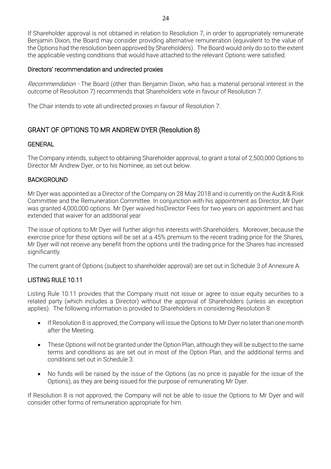If Shareholder approval is not obtained in relation to Resolution 7, in order to appropriately remunerate Benjamin Dixon, the Board may consider providing alternative remuneration (equivalent to the value of the Options had the resolution been approved by Shareholders). The Board would only do so to the extent the applicable vesting conditions that would have attached to the relevant Options were satisfied.

#### Directors' recommendation and undirected proxies

Recommendation - The Board (other than Benjamin Dixon, who has a material personal interest in the outcome of Resolution 7) recommends that Shareholders vote in favour of Resolution 7.

The Chair intends to vote all undirected proxies in favour of Resolution 7.

# GRANT OF OPTIONS TO MR ANDREW DYER (Resolution 8)

#### **GENERAL**

The Company intends, subject to obtaining Shareholder approval, to grant a total of 2,500,000 Options to Director Mr Andrew Dyer, or to his Nominee, as set out below.

#### BACKGROUND

Mr Dyer was appointed as a Director of the Company on 28 May 2018 and is currently on the Audit & Risk Committee and the Remuneration Committee. In conjunction with his appointment as Director, Mr Dyer was granted 4,000,000 options. Mr Dyer waived hisDirector Fees for two years on appointment and has extended that waiver for an additional year

The issue of options to Mr Dyer will further align his interests with Shareholders. Moreover, because the exercise price for these options will be set at a 45% premium to the recent trading price for the Shares, Mr Dyer will not receive any benefit from the options until the trading price for the Shares has increased significantly.

The current grant of Options (subject to shareholder approval) are set out in Schedule 3 of Annexure A.

#### LISTING RULE 10.11

Listing Rule 10.11 provides that the Company must not issue or agree to issue equity securities to a related party (which includes a Director) without the approval of Shareholders (unless an exception applies). The following information is provided to Shareholders in considering Resolution 8:

- If Resolution 8 is approved, the Company will issue the Options to Mr Dyer no later than one month after the Meeting.
- These Options will not be granted under the Option Plan, although they will be subject to the same terms and conditions as are set out in most of the Option Plan, and the additional terms and conditions set out in Schedule 3.
- No funds will be raised by the issue of the Options (as no price is payable for the issue of the Options), as they are being issued for the purpose of remunerating Mr Dyer.

If Resolution 8 is not approved, the Company will not be able to issue the Options to Mr Dyer and will consider other forms of remuneration appropriate for him.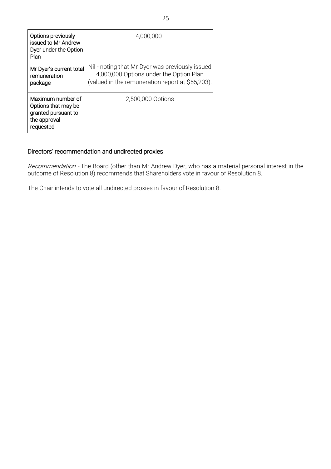| Options previously<br>issued to Mr Andrew<br>Dyer under the Option<br>Plan                   | 4,000,000                                                                                                                                      |
|----------------------------------------------------------------------------------------------|------------------------------------------------------------------------------------------------------------------------------------------------|
| Mr Dyer's current total<br>remuneration<br>package                                           | Nil - noting that Mr Dyer was previously issued<br>4,000,000 Options under the Option Plan<br>(valued in the remuneration report at \$55,203). |
| Maximum number of<br>Options that may be<br>granted pursuant to<br>the approval<br>requested | 2,500,000 Options                                                                                                                              |

# Directors' recommendation and undirected proxies

*Recommendation -* The Board (other than Mr Andrew Dyer, who has a material personal interest in the outcome of Resolution 8) recommends that Shareholders vote in favour of Resolution 8.

The Chair intends to vote all undirected proxies in favour of Resolution 8.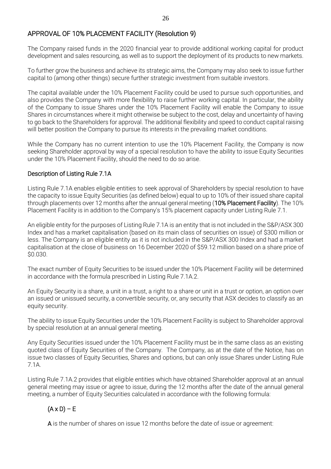# APPROVAL OF 10% PLACEMENT FACILITY (Resolution 9)

The Company raised funds in the 2020 financial year to provide additional working capital for product development and sales resourcing, as well as to support the deployment of its products to new markets.

To further grow the business and achieve its strategic aims, the Company may also seek to issue further capital to (among other things) secure further strategic investment from suitable investors.

The capital available under the 10% Placement Facility could be used to pursue such opportunities, and also provides the Company with more flexibility to raise further working capital. In particular, the ability of the Company to issue Shares under the 10% Placement Facility will enable the Company to issue Shares in circumstances where it might otherwise be subject to the cost, delay and uncertainty of having to go back to the Shareholders for approval. The additional flexibility and speed to conduct capital raising will better position the Company to pursue its interests in the prevailing market conditions.

While the Company has no current intention to use the 10% Placement Facility, the Company is now seeking Shareholder approval by way of a special resolution to have the ability to issue Equity Securities under the 10% Placement Facility, should the need to do so arise.

#### Description of Listing Rule 7.1A

Listing Rule 7.1A enables eligible entities to seek approval of Shareholders by special resolution to have the capacity to issue Equity Securities (as defined below) equal to up to 10% of their issued share capital through placements over 12 months after the annual general meeting (10% Placement Facility). The 10% Placement Facility is in addition to the Company's 15% placement capacity under Listing Rule 7.1.

An eligible entity for the purposes of Listing Rule 7.1A is an entity that is not included in the S&P/ASX 300 Index and has a market capitalisation (based on its main class of securities on issue) of \$300 million or less. The Company is an eligible entity as it is not included in the S&P/ASX 300 Index and had a market capitalisation at the close of business on 16 December 2020 of \$59.12 million based on a share price of \$0.030.

The exact number of Equity Securities to be issued under the 10% Placement Facility will be determined in accordance with the formula prescribed in Listing Rule 7.1A.2.

An Equity Security is a share, a unit in a trust, a right to a share or unit in a trust or option, an option over an issued or unissued security, a convertible security, or, any security that ASX decides to classify as an equity security.

The ability to issue Equity Securities under the 10% Placement Facility is subject to Shareholder approval by special resolution at an annual general meeting.

Any Equity Securities issued under the 10% Placement Facility must be in the same class as an existing quoted class of Equity Securities of the Company. The Company, as at the date of the Notice, has on issue two classes of Equity Securities, Shares and options, but can only issue Shares under Listing Rule 7.1A.

Listing Rule 7.1A.2 provides that eligible entities which have obtained Shareholder approval at an annual general meeting may issue or agree to issue, during the 12 months after the date of the annual general meeting, a number of Equity Securities calculated in accordance with the following formula:

# $(A \times D) - E$

A is the number of shares on issue 12 months before the date of issue or agreement: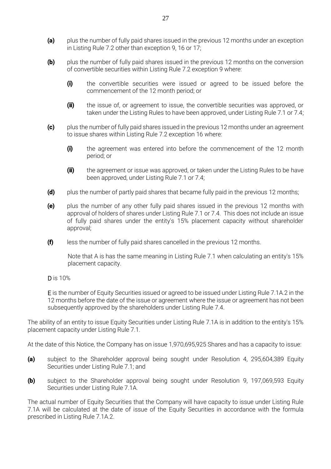- (a) plus the number of fully paid shares issued in the previous 12 months under an exception in Listing Rule 7.2 other than exception 9, 16 or 17;
- **(b)** plus the number of fully paid shares issued in the previous 12 months on the conversion of convertible securities within Listing Rule 7.2 exception 9 where:
	- (i) the convertible securities were issued or agreed to be issued before the commencement of the 12 month period; or
	- (ii) the issue of, or agreement to issue, the convertible securities was approved, or taken under the Listing Rules to have been approved, under Listing Rule 7.1 or 7.4;
- (c) plus the number of fully paid shares issued in the previous 12 months under an agreement to issue shares within Listing Rule 7.2 exception 16 where:
	- (i) the agreement was entered into before the commencement of the 12 month period; or
	- (ii) the agreement or issue was approved, or taken under the Listing Rules to be have been approved, under Listing Rule 7.1 or 7.4;
- (d) plus the number of partly paid shares that became fully paid in the previous 12 months;
- (e) plus the number of any other fully paid shares issued in the previous 12 months with approval of holders of shares under Listing Rule 7.1 or 7.4. This does not include an issue of fully paid shares under the entity's 15% placement capacity without shareholder approval;
- $(f)$  less the number of fully paid shares cancelled in the previous 12 months.

Note that A is has the same meaning in Listing Rule 7.1 when calculating an entity's 15% placement capacity.

D is 10%

E is the number of Equity Securities issued or agreed to be issued under Listing Rule 7.1A.2 in the 12 months before the date of the issue or agreement where the issue or agreement has not been subsequently approved by the shareholders under Listing Rule 7.4.

The ability of an entity to issue Equity Securities under Listing Rule 7.1A is in addition to the entity's 15% placement capacity under Listing Rule 7.1.

At the date of this Notice, the Company has on issue 1,970,695,925 Shares and has a capacity to issue:

- (a) subject to the Shareholder approval being sought under Resolution 4, 295,604,389 Equity Securities under Listing Rule 7.1; and
- (b) subject to the Shareholder approval being sought under Resolution 9, 197,069,593 Equity Securities under Listing Rule 7.1A.

The actual number of Equity Securities that the Company will have capacity to issue under Listing Rule 7.1A will be calculated at the date of issue of the Equity Securities in accordance with the formula prescribed in Listing Rule 7.1A.2.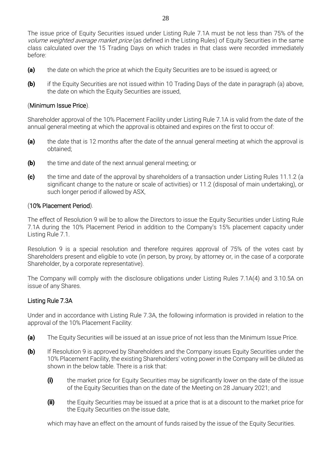The issue price of Equity Securities issued under Listing Rule 7.1A must be not less than 75% of the volume weighted average market price (as defined in the Listing Rules) of Equity Securities in the same class calculated over the 15 Trading Days on which trades in that class were recorded immediately before:

- (a) the date on which the price at which the Equity Securities are to be issued is agreed; or
- **(b)** if the Equity Securities are not issued within 10 Trading Days of the date in paragraph (a) above, the date on which the Equity Securities are issued,

### (Minimum Issue Price).

Shareholder approval of the 10% Placement Facility under Listing Rule 7.1A is valid from the date of the annual general meeting at which the approval is obtained and expires on the first to occur of:

- (a) the date that is 12 months after the date of the annual general meeting at which the approval is obtained;
- **(b)** the time and date of the next annual general meeting; or
- (c) the time and date of the approval by shareholders of a transaction under Listing Rules 11.1.2 (a significant change to the nature or scale of activities) or 11.2 (disposal of main undertaking), or such longer period if allowed by ASX,

### (10% Placement Period).

The effect of Resolution 9 will be to allow the Directors to issue the Equity Securities under Listing Rule 7.1A during the 10% Placement Period in addition to the Company's 15% placement capacity under Listing Rule 7.1.

Resolution 9 is a special resolution and therefore requires approval of 75% of the votes cast by Shareholders present and eligible to vote (in person, by proxy, by attorney or, in the case of a corporate Shareholder, by a corporate representative).

The Company will comply with the disclosure obligations under Listing Rules 7.1A(4) and 3.10.5A on issue of any Shares.

# Listing Rule 7.3A

Under and in accordance with Listing Rule 7.3A, the following information is provided in relation to the approval of the 10% Placement Facility:

- (a) The Equity Securities will be issued at an issue price of not less than the Minimum Issue Price.
- (b) If Resolution 9 is approved by Shareholders and the Company issues Equity Securities under the 10% Placement Facility, the existing Shareholders' voting power in the Company will be diluted as shown in the below table. There is a risk that:
	- (i) the market price for Equity Securities may be significantly lower on the date of the issue of the Equity Securities than on the date of the Meeting on 28 January 2021; and
	- (ii) the Equity Securities may be issued at a price that is at a discount to the market price for the Equity Securities on the issue date,

which may have an effect on the amount of funds raised by the issue of the Equity Securities.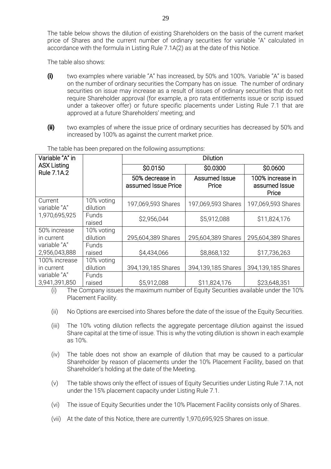The table below shows the dilution of existing Shareholders on the basis of the current market price of Shares and the current number of ordinary securities for variable "A" calculated in accordance with the formula in Listing Rule 7.1A(2) as at the date of this Notice.

The table also shows:

- (i) two examples where variable "A" has increased, by 50% and 100%. Variable "A" is based on the number of ordinary securities the Company has on issue. The number of ordinary securities on issue may increase as a result of issues of ordinary securities that do not require Shareholder approval (for example, a pro rata entitlements issue or scrip issued under a takeover offer) or future specific placements under Listing Rule 7.1 that are approved at a future Shareholders' meeting; and
- (ii) two examples of where the issue price of ordinary securities has decreased by 50% and increased by 100% as against the current market price.

| Variable "A" in                   |                        |                                        | <b>Dilution</b>        |                                            |
|-----------------------------------|------------------------|----------------------------------------|------------------------|--------------------------------------------|
| <b>ASX Listing</b><br>Rule 7.1A.2 |                        | \$0.0150                               | \$0.0300               | \$0.0600                                   |
|                                   |                        | 50% decrease in<br>assumed Issue Price | Assumed Issue<br>Price | 100% increase in<br>assumed Issue<br>Price |
| Current<br>variable "A"           | 10% voting<br>dilution | 197,069,593 Shares                     | 197,069,593 Shares     | 197,069,593 Shares                         |
| 1,970,695,925                     | Funds<br>raised        | \$2,956,044                            | \$5,912,088            | \$11,824,176                               |
| 50% increase<br>in current        | 10% voting<br>dilution | 295,604,389 Shares                     | 295,604,389 Shares     | 295,604,389 Shares                         |
| variable "A"<br>2,956,043,888     | Funds<br>raised        | \$4,434,066                            | \$8,868,132            | \$17,736,263                               |
| 100% increase<br>in current       | 10% voting<br>dilution | 394,139,185 Shares                     | 394,139,185 Shares     | 394,139,185 Shares                         |
| variable "A"<br>3,941,391,850     | Funds<br>raised        | \$5,912,088                            | \$11,824,176           | \$23,648,351                               |

The table has been prepared on the following assumptions:

(i) The Company issues the maximum number of Equity Securities available under the  $10\%$ Placement Facility.

- (ii) No Options are exercised into Shares before the date of the issue of the Equity Securities.
- (iii) The 10% voting dilution reflects the aggregate percentage dilution against the issued Share capital at the time of issue. This is why the voting dilution is shown in each example as 10%.
- (iv) The table does not show an example of dilution that may be caused to a particular Shareholder by reason of placements under the 10% Placement Facility, based on that Shareholder's holding at the date of the Meeting.
- (v) The table shows only the effect of issues of Equity Securities under Listing Rule 7.1A, not under the 15% placement capacity under Listing Rule 7.1.
- (vi) The issue of Equity Securities under the 10% Placement Facility consists only of Shares.
- (vii) At the date of this Notice, there are currently 1,970,695,925 Shares on issue.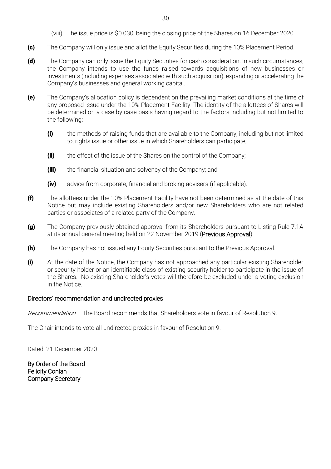- (viii) The issue price is \$0.030, being the closing price of the Shares on 16 December 2020.
- (c) The Company will only issue and allot the Equity Securities during the 10% Placement Period.
- (d) The Company can only issue the Equity Securities for cash consideration. In such circumstances, the Company intends to use the funds raised towards acquisitions of new businesses or investments (including expenses associated with such acquisition), expanding or accelerating the Company's businesses and general working capital.
- (e) The Company's allocation policy is dependent on the prevailing market conditions at the time of any proposed issue under the 10% Placement Facility. The identity of the allottees of Shares will be determined on a case by case basis having regard to the factors including but not limited to the following:
	- (i) the methods of raising funds that are available to the Company, including but not limited to, rights issue or other issue in which Shareholders can participate;
	- (ii) the effect of the issue of the Shares on the control of the Company;
	- (iii) the financial situation and solvency of the Company; and
	- (iv) advice from corporate, financial and broking advisers (if applicable).
- (f) The allottees under the 10% Placement Facility have not been determined as at the date of this Notice but may include existing Shareholders and/or new Shareholders who are not related parties or associates of a related party of the Company.
- (g) The Company previously obtained approval from its Shareholders pursuant to Listing Rule 7.1A at its annual general meeting held on 22 November 2019 (Previous Approval).
- **(h)** The Company has not issued any Equity Securities pursuant to the Previous Approval.
- (i) At the date of the Notice, the Company has not approached any particular existing Shareholder or security holder or an identifiable class of existing security holder to participate in the issue of the Shares. No existing Shareholder's votes will therefore be excluded under a voting exclusion in the Notice.

# Directors' recommendation and undirected proxies

Recommendation – The Board recommends that Shareholders vote in favour of Resolution 9.

The Chair intends to vote all undirected proxies in favour of Resolution 9.

Dated: 21 December 2020

By Order of the Board Felicity Conlan Company Secretary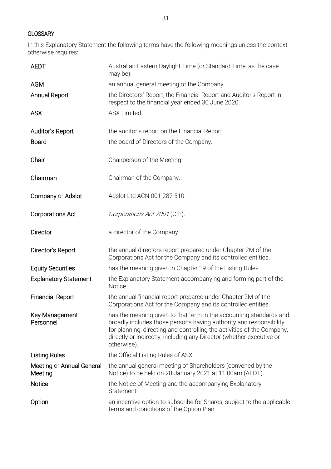#### **GLOSSARY**

In this Explanatory Statement the following terms have the following meanings unless the context otherwise requires:

| <b>AEDT</b>                          | Australian Eastern Daylight Time (or Standard Time, as the case<br>may be).                                                                                                                                                                                                                               |
|--------------------------------------|-----------------------------------------------------------------------------------------------------------------------------------------------------------------------------------------------------------------------------------------------------------------------------------------------------------|
| <b>AGM</b>                           | an annual general meeting of the Company.                                                                                                                                                                                                                                                                 |
| <b>Annual Report</b>                 | the Directors' Report, the Financial Report and Auditor's Report in<br>respect to the financial year ended 30 June 2020.                                                                                                                                                                                  |
| <b>ASX</b>                           | ASX Limited.                                                                                                                                                                                                                                                                                              |
| Auditor's Report                     | the auditor's report on the Financial Report.                                                                                                                                                                                                                                                             |
| <b>Board</b>                         | the board of Directors of the Company.                                                                                                                                                                                                                                                                    |
| Chair                                | Chairperson of the Meeting.                                                                                                                                                                                                                                                                               |
| Chairman                             | Chairman of the Company.                                                                                                                                                                                                                                                                                  |
| Company or Adslot                    | Adslot Ltd ACN 001 287 510.                                                                                                                                                                                                                                                                               |
| <b>Corporations Act</b>              | Corporations Act 2001 (Cth).                                                                                                                                                                                                                                                                              |
| <b>Director</b>                      | a director of the Company.                                                                                                                                                                                                                                                                                |
| Director's Report                    | the annual directors report prepared under Chapter 2M of the<br>Corporations Act for the Company and its controlled entities.                                                                                                                                                                             |
| <b>Equity Securities</b>             | has the meaning given in Chapter 19 of the Listing Rules.                                                                                                                                                                                                                                                 |
| <b>Explanatory Statement</b>         | the Explanatory Statement accompanying and forming part of the<br>Notice.                                                                                                                                                                                                                                 |
| <b>Financial Report</b>              | the annual financial report prepared under Chapter 2M of the<br>Corporations Act for the Company and its controlled entities.                                                                                                                                                                             |
| Key Management<br>Personnel          | has the meaning given to that term in the accounting standards and<br>broadly includes those persons having authority and responsibility<br>for planning, directing and controlling the activities of the Company,<br>directly or indirectly, including any Director (whether executive or<br>otherwise). |
| <b>Listing Rules</b>                 | the Official Listing Rules of ASX.                                                                                                                                                                                                                                                                        |
| Meeting or Annual General<br>Meeting | the annual general meeting of Shareholders (convened by the<br>Notice) to be held on 28 January 2021 at 11.00am (AEDT).                                                                                                                                                                                   |
| Notice                               | the Notice of Meeting and the accompanying Explanatory<br>Statement.                                                                                                                                                                                                                                      |
| Option                               | an incentive option to subscribe for Shares, subject to the applicable<br>terms and conditions of the Option Plan                                                                                                                                                                                         |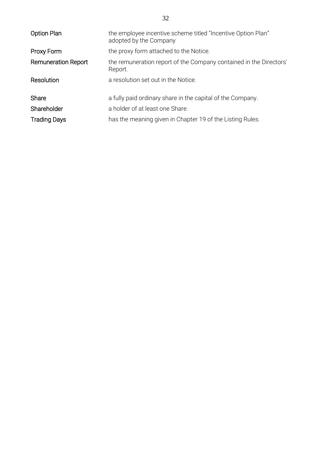| <b>Option Plan</b>         | the employee incentive scheme titled "Incentive Option Plan"<br>adopted by the Company |
|----------------------------|----------------------------------------------------------------------------------------|
| Proxy Form                 | the proxy form attached to the Notice.                                                 |
| <b>Remuneration Report</b> | the remuneration report of the Company contained in the Directors'<br>Report.          |
| Resolution                 | a resolution set out in the Notice.                                                    |
| Share                      | a fully paid ordinary share in the capital of the Company.                             |
| Shareholder                | a holder of at least one Share.                                                        |
| <b>Trading Days</b>        | has the meaning given in Chapter 19 of the Listing Rules.                              |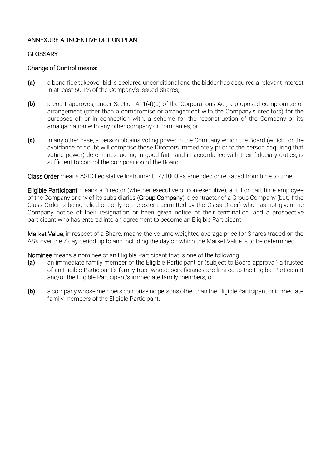#### ANNEXURE A: INCENTIVE OPTION PLAN

### **GLOSSARY**

### Change of Control means:

- (a) a bona fide takeover bid is declared unconditional and the bidder has acquired a relevant interest in at least 50.1% of the Company's issued Shares;
- (b) a court approves, under Section 411(4)(b) of the Corporations Act, a proposed compromise or arrangement (other than a compromise or arrangement with the Company's creditors) for the purposes of, or in connection with, a scheme for the reconstruction of the Company or its amalgamation with any other company or companies; or
- (c) in any other case, a person obtains voting power in the Company which the Board (which for the avoidance of doubt will comprise those Directors immediately prior to the person acquiring that voting power) determines, acting in good faith and in accordance with their fiduciary duties, is sufficient to control the composition of the Board.

Class Order means ASIC Legislative Instrument 14/1000 as amended or replaced from time to time.

Eligible Participant means a Director (whether executive or non-executive), a full or part time employee of the Company or any of its subsidiaries (Group Company), a contractor of a Group Company (but, if the Class Order is being relied on, only to the extent permitted by the Class Order) who has not given the Company notice of their resignation or been given notice of their termination, and a prospective participant who has entered into an agreement to become an Eligible Participant.

Market Value, in respect of a Share, means the volume weighted average price for Shares traded on the ASX over the 7 day period up to and including the day on which the Market Value is to be determined.

Nominee means a nominee of an Eligible Participant that is one of the following:

- (a) an immediate family member of the Eligible Participant or (subject to Board approval) a trustee of an Eligible Participant's family trust whose beneficiaries are limited to the Eligible Participant and/or the Eligible Participant's immediate family members; or
- **(b)** a company whose members comprise no persons other than the Eligible Participant or immediate family members of the Eligible Participant.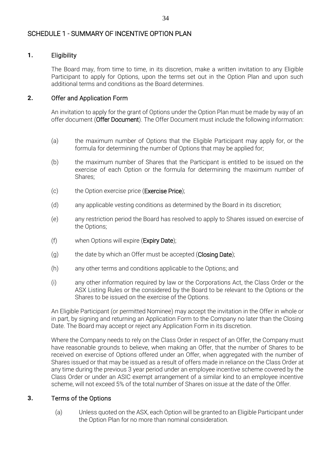# SCHEDULE 1 - SUMMARY OF INCENTIVE OPTION PLAN

# 1. Eligibility

The Board may, from time to time, in its discretion, make a written invitation to any Eligible Participant to apply for Options, upon the terms set out in the Option Plan and upon such additional terms and conditions as the Board determines.

# 2. Offer and Application Form

An invitation to apply for the grant of Options under the Option Plan must be made by way of an offer document (Offer Document). The Offer Document must include the following information:

- (a) the maximum number of Options that the Eligible Participant may apply for, or the formula for determining the number of Options that may be applied for;
- (b) the maximum number of Shares that the Participant is entitled to be issued on the exercise of each Option or the formula for determining the maximum number of Shares;
- (c) the Option exercise price (Exercise Price);
- (d) any applicable vesting conditions as determined by the Board in its discretion;
- (e) any restriction period the Board has resolved to apply to Shares issued on exercise of the Options;
- (f) when Options will expire (Expiry Date);
- $(q)$  the date by which an Offer must be accepted (Closing Date);
- (h) any other terms and conditions applicable to the Options; and
- (i) any other information required by law or the Corporations Act, the Class Order or the ASX Listing Rules or the considered by the Board to be relevant to the Options or the Shares to be issued on the exercise of the Options.

An Eligible Participant (or permitted Nominee) may accept the invitation in the Offer in whole or in part, by signing and returning an Application Form to the Company no later than the Closing Date. The Board may accept or reject any Application Form in its discretion.

Where the Company needs to rely on the Class Order in respect of an Offer, the Company must have reasonable grounds to believe, when making an Offer, that the number of Shares to be received on exercise of Options offered under an Offer, when aggregated with the number of Shares issued or that may be issued as a result of offers made in reliance on the Class Order at any time during the previous 3 year period under an employee incentive scheme covered by the Class Order or under an ASIC exempt arrangement of a similar kind to an employee incentive scheme, will not exceed 5% of the total number of Shares on issue at the date of the Offer.

# 3. Terms of the Options

(a) Unless quoted on the ASX, each Option will be granted to an Eligible Participant under the Option Plan for no more than nominal consideration.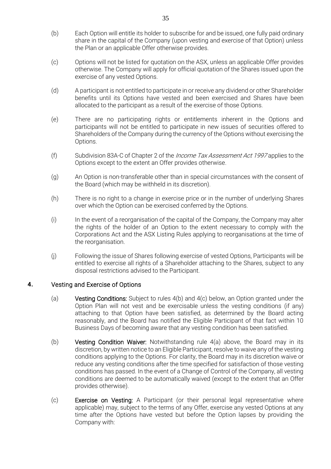- (b) Each Option will entitle its holder to subscribe for and be issued, one fully paid ordinary share in the capital of the Company (upon vesting and exercise of that Option) unless the Plan or an applicable Offer otherwise provides.
- (c) Options will not be listed for quotation on the ASX, unless an applicable Offer provides otherwise. The Company will apply for official quotation of the Shares issued upon the exercise of any vested Options.
- (d) A participant is not entitled to participate in or receive any dividend or other Shareholder benefits until its Options have vested and been exercised and Shares have been allocated to the participant as a result of the exercise of those Options.
- (e) There are no participating rights or entitlements inherent in the Options and participants will not be entitled to participate in new issues of securities offered to Shareholders of the Company during the currency of the Options without exercising the Options.
- (f) Subdivision 83A-C of Chapter 2 of the *Income Tax Assessment Act 1997* applies to the Options except to the extent an Offer provides otherwise.
- (g) An Option is non-transferable other than in special circumstances with the consent of the Board (which may be withheld in its discretion).
- (h) There is no right to a change in exercise price or in the number of underlying Shares over which the Option can be exercised conferred by the Options.
- (i) In the event of a reorganisation of the capital of the Company, the Company may alter the rights of the holder of an Option to the extent necessary to comply with the Corporations Act and the ASX Listing Rules applying to reorganisations at the time of the reorganisation.
- (j) Following the issue of Shares following exercise of vested Options, Participants will be entitled to exercise all rights of a Shareholder attaching to the Shares, subject to any disposal restrictions advised to the Participant.

#### 4. Vesting and Exercise of Options

- (a) Vesting Conditions: Subject to rules 4(b) and 4(c) below, an Option granted under the Option Plan will not vest and be exercisable unless the vesting conditions (if any) attaching to that Option have been satisfied, as determined by the Board acting reasonably, and the Board has notified the Eligible Participant of that fact within 10 Business Days of becoming aware that any vesting condition has been satisfied.
- (b) **Vesting Condition Waiver:** Notwithstanding rule  $4(a)$  above, the Board may in its discretion, by written notice to an Eligible Participant, resolve to waive any of the vesting conditions applying to the Options. For clarity, the Board may in its discretion waive or reduce any vesting conditions after the time specified for satisfaction of those vesting conditions has passed. In the event of a Change of Control of the Company, all vesting conditions are deemed to be automatically waived (except to the extent that an Offer provides otherwise).
- (c) Exercise on Vesting: A Participant (or their personal legal representative where applicable) may, subject to the terms of any Offer, exercise any vested Options at any time after the Options have vested but before the Option lapses by providing the Company with: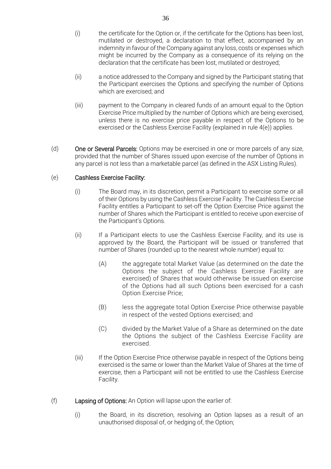- (i) the certificate for the Option or, if the certificate for the Options has been lost, mutilated or destroyed, a declaration to that effect, accompanied by an indemnity in favour of the Company against any loss, costs or expenses which might be incurred by the Company as a consequence of its relying on the declaration that the certificate has been lost, mutilated or destroyed;
- (ii) a notice addressed to the Company and signed by the Participant stating that the Participant exercises the Options and specifying the number of Options which are exercised; and
- (iii) payment to the Company in cleared funds of an amount equal to the Option Exercise Price multiplied by the number of Options which are being exercised, unless there is no exercise price payable in respect of the Options to be exercised or the Cashless Exercise Facility (explained in rule 4(e)) applies.
- (d) One or Several Parcels: Options may be exercised in one or more parcels of any size, provided that the number of Shares issued upon exercise of the number of Options in any parcel is not less than a marketable parcel (as defined in the ASX Listing Rules).

#### (e) Cashless Exercise Facility:

- (i) The Board may, in its discretion, permit a Participant to exercise some or all of their Options by using the Cashless Exercise Facility. The Cashless Exercise Facility entitles a Participant to set-off the Option Exercise Price against the number of Shares which the Participant is entitled to receive upon exercise of the Participant's Options.
- (ii) If a Participant elects to use the Cashless Exercise Facility, and its use is approved by the Board, the Participant will be issued or transferred that number of Shares (rounded up to the nearest whole number) equal to:
	- (A) the aggregate total Market Value (as determined on the date the Options the subject of the Cashless Exercise Facility are exercised) of Shares that would otherwise be issued on exercise of the Options had all such Options been exercised for a cash Option Exercise Price;
	- (B) less the aggregate total Option Exercise Price otherwise payable in respect of the vested Options exercised; and
	- (C) divided by the Market Value of a Share as determined on the date the Options the subject of the Cashless Exercise Facility are exercised.
- (iii) If the Option Exercise Price otherwise payable in respect of the Options being exercised is the same or lower than the Market Value of Shares at the time of exercise, then a Participant will not be entitled to use the Cashless Exercise Facility.
- (f) Lapsing of Options: An Option will lapse upon the earlier of:
	- (i) the Board, in its discretion, resolving an Option lapses as a result of an unauthorised disposal of, or hedging of, the Option;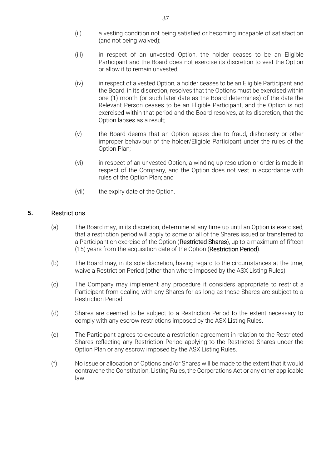- (ii) a vesting condition not being satisfied or becoming incapable of satisfaction (and not being waived);
- (iii) in respect of an unvested Option, the holder ceases to be an Eligible Participant and the Board does not exercise its discretion to vest the Option or allow it to remain unvested;
- (iv) in respect of a vested Option, a holder ceases to be an Eligible Participant and the Board, in its discretion, resolves that the Options must be exercised within one (1) month (or such later date as the Board determines) of the date the Relevant Person ceases to be an Eligible Participant, and the Option is not exercised within that period and the Board resolves, at its discretion, that the Option lapses as a result;
- (v) the Board deems that an Option lapses due to fraud, dishonesty or other improper behaviour of the holder/Eligible Participant under the rules of the Option Plan;
- (vi) in respect of an unvested Option, a winding up resolution or order is made in respect of the Company, and the Option does not vest in accordance with rules of the Option Plan; and
- (vii) the expiry date of the Option.

#### 5. Restrictions

- (a) The Board may, in its discretion, determine at any time up until an Option is exercised, that a restriction period will apply to some or all of the Shares issued or transferred to a Participant on exercise of the Option (Restricted Shares), up to a maximum of fifteen (15) years from the acquisition date of the Option (Restriction Period).
- (b) The Board may, in its sole discretion, having regard to the circumstances at the time, waive a Restriction Period (other than where imposed by the ASX Listing Rules).
- (c) The Company may implement any procedure it considers appropriate to restrict a Participant from dealing with any Shares for as long as those Shares are subject to a Restriction Period.
- (d) Shares are deemed to be subject to a Restriction Period to the extent necessary to comply with any escrow restrictions imposed by the ASX Listing Rules.
- (e) The Participant agrees to execute a restriction agreement in relation to the Restricted Shares reflecting any Restriction Period applying to the Restricted Shares under the Option Plan or any escrow imposed by the ASX Listing Rules.
- (f) No issue or allocation of Options and/or Shares will be made to the extent that it would contravene the Constitution, Listing Rules, the Corporations Act or any other applicable law.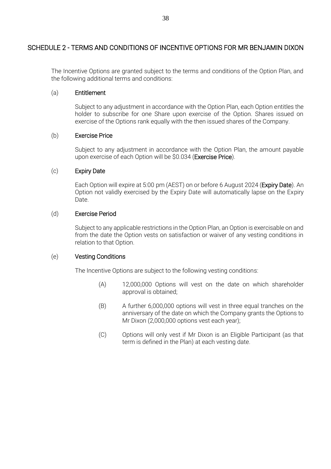### SCHEDULE 2 - TERMS AND CONDITIONS OF INCENTIVE OPTIONS FOR MR BENJAMIN DIXON

The Incentive Options are granted subject to the terms and conditions of the Option Plan, and the following additional terms and conditions:

#### (a) Entitlement

Subject to any adjustment in accordance with the Option Plan, each Option entitles the holder to subscribe for one Share upon exercise of the Option. Shares issued on exercise of the Options rank equally with the then issued shares of the Company.

#### (b) Exercise Price

Subject to any adjustment in accordance with the Option Plan, the amount payable upon exercise of each Option will be \$0.034 (Exercise Price).

#### (c) Expiry Date

Each Option will expire at 5:00 pm (AEST) on or before 6 August 2024 (Expiry Date). An Option not validly exercised by the Expiry Date will automatically lapse on the Expiry Date.

#### (d) Exercise Period

Subject to any applicable restrictions in the Option Plan, an Option is exercisable on and from the date the Option vests on satisfaction or waiver of any vesting conditions in relation to that Option.

#### (e) Vesting Conditions

The Incentive Options are subject to the following vesting conditions:

- (A) 12,000,000 Options will vest on the date on which shareholder approval is obtained;
- (B) A further 6,000,000 options will vest in three equal tranches on the anniversary of the date on which the Company grants the Options to Mr Dixon (2,000,000 options vest each year);
- (C) Options will only vest if Mr Dixon is an Eligible Participant (as that term is defined in the Plan) at each vesting date.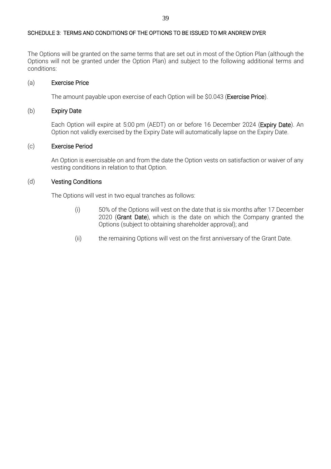#### SCHEDULE 3: TERMS AND CONDITIONS OF THE OPTIONS TO BE ISSUED TO MR ANDREW DYER

The Options will be granted on the same terms that are set out in most of the Option Plan (although the Options will not be granted under the Option Plan) and subject to the following additional terms and conditions:

#### (a) Exercise Price

The amount payable upon exercise of each Option will be \$0.043 (Exercise Price).

#### (b) Expiry Date

Each Option will expire at 5:00 pm (AEDT) on or before 16 December 2024 (Expiry Date). An Option not validly exercised by the Expiry Date will automatically lapse on the Expiry Date.

#### (c) Exercise Period

An Option is exercisable on and from the date the Option vests on satisfaction or waiver of any vesting conditions in relation to that Option.

#### (d) Vesting Conditions

The Options will vest in two equal tranches as follows:

- (i) 50% of the Options will vest on the date that is six months after 17 December 2020 (Grant Date), which is the date on which the Company granted the Options (subject to obtaining shareholder approval); and
- (ii) the remaining Options will vest on the first anniversary of the Grant Date.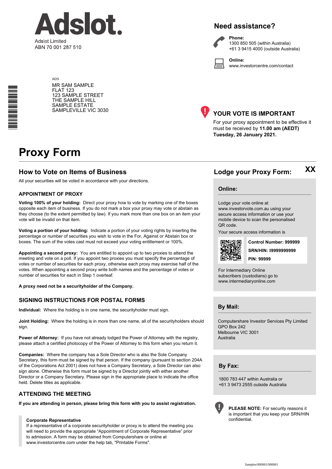

# **Need assistance?**



**Phone:** 1300 850 505 (within Australia) +61 3 9415 4000 (outside Australia)

**Online:** www.investorcentre.com/contact

ADS MR SAM SAMPLE FLAT 123 123 SAMPLE STREET THE SAMPLE HILL SAMPLE ESTATE SAMPLEVILLE VIC 3030



#### **YOUR VOTE IS IMPORTANT**

For your proxy appointment to be effective it must be received by **11.00 am (AEDT) Tuesday, 26 January 2021.**

# **Proxy Form**

\*<br>\* London<br>Timografia

#### **How to Vote on Items of Business Lodge your Proxy Form:**

All your securities will be voted in accordance with your directions.

#### **APPOINTMENT OF PROXY**

**Voting 100% of your holding:** Direct your proxy how to vote by marking one of the boxes opposite each item of business. If you do not mark a box your proxy may vote or abstain as they choose (to the extent permitted by law). If you mark more than one box on an item your vote will be invalid on that item.

**Voting a portion of your holding:** Indicate a portion of your voting rights by inserting the percentage or number of securities you wish to vote in the For, Against or Abstain box or boxes. The sum of the votes cast must not exceed your voting entitlement or 100%.

**Appointing a second proxy:** You are entitled to appoint up to two proxies to attend the meeting and vote on a poll. If you appoint two proxies you must specify the percentage of votes or number of securities for each proxy, otherwise each proxy may exercise half of the votes. When appointing a second proxy write both names and the percentage of votes or number of securities for each in Step 1 overleaf.

**A proxy need not be a securityholder of the Company.**

#### **SIGNING INSTRUCTIONS FOR POSTAL FORMS**

**Individual:** Where the holding is in one name, the securityholder must sign.

**Joint Holding:** Where the holding is in more than one name, all of the securityholders should sign.

**Power of Attorney:** If you have not already lodged the Power of Attorney with the registry, please attach a certified photocopy of the Power of Attorney to this form when you return it.

**Companies:** Where the company has a Sole Director who is also the Sole Company Secretary, this form must be signed by that person. If the company (pursuant to section 204A of the Corporations Act 2001) does not have a Company Secretary, a Sole Director can also sign alone. Otherwise this form must be signed by a Director jointly with either another Director or a Company Secretary. Please sign in the appropriate place to indicate the office held. Delete titles as applicable.

#### **ATTENDING THE MEETING**

**If you are attending in person, please bring this form with you to assist registration.**

#### **Corporate Representative**

If a representative of a corporate securityholder or proxy is to attend the meeting you will need to provide the appropriate "Appointment of Corporate Representative" prior to admission. A form may be obtained from Computershare or online at www.investorcentre.com under the help tab, "Printable Forms".

# **XX**

#### **Online:**

Lodge your vote online at www.investorvote.com.au using your secure access information or use your mobile device to scan the personalised QR code.

Your secure access information is



**SRN/HIN: I9999999999 Control Number: 999999 PIN: 99999**

For Intermediary Online subscribers (custodians) go to www.intermediaryonline.com

**By Mail:**

Computershare Investor Services Pty Limited GPO Box 242 Melbourne VIC 3001 Australia

**By Fax:**

1800 783 447 within Australia or +61 3 9473 2555 outside Australia



**PLEASE NOTE:** For security reasons it is important that you keep your SRN/HIN confidential.